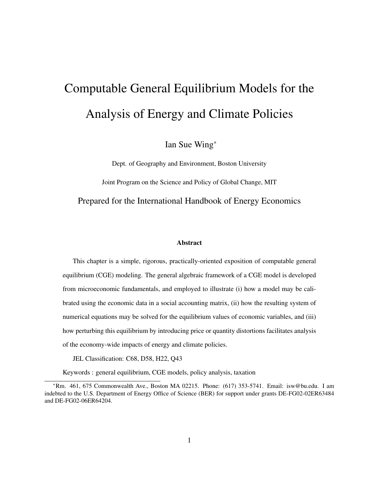# Computable General Equilibrium Models for the Analysis of Energy and Climate Policies

Ian Sue Wing<sup>∗</sup>

Dept. of Geography and Environment, Boston University

Joint Program on the Science and Policy of Global Change, MIT

Prepared for the International Handbook of Energy Economics

#### Abstract

This chapter is a simple, rigorous, practically-oriented exposition of computable general equilibrium (CGE) modeling. The general algebraic framework of a CGE model is developed from microeconomic fundamentals, and employed to illustrate (i) how a model may be calibrated using the economic data in a social accounting matrix, (ii) how the resulting system of numerical equations may be solved for the equilibrium values of economic variables, and (iii) how perturbing this equilibrium by introducing price or quantity distortions facilitates analysis of the economy-wide impacts of energy and climate policies.

JEL Classification: C68, D58, H22, Q43

Keywords : general equilibrium, CGE models, policy analysis, taxation

<sup>∗</sup>Rm. 461, 675 Commonwealth Ave., Boston MA 02215. Phone: (617) 353-5741. Email: isw@bu.edu. I am indebted to the U.S. Department of Energy Office of Science (BER) for support under grants DE-FG02-02ER63484 and DE-FG02-06ER64204.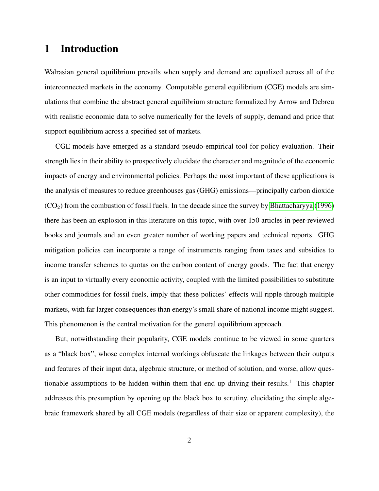## 1 Introduction

Walrasian general equilibrium prevails when supply and demand are equalized across all of the interconnected markets in the economy. Computable general equilibrium (CGE) models are simulations that combine the abstract general equilibrium structure formalized by Arrow and Debreu with realistic economic data to solve numerically for the levels of supply, demand and price that support equilibrium across a specified set of markets.

CGE models have emerged as a standard pseudo-empirical tool for policy evaluation. Their strength lies in their ability to prospectively elucidate the character and magnitude of the economic impacts of energy and environmental policies. Perhaps the most important of these applications is the analysis of measures to reduce greenhouses gas (GHG) emissions—principally carbon dioxide  $(CO<sub>2</sub>)$  from the combustion of fossil fuels. In the decade since the survey by [Bhattacharyya](#page-53-0) [\(1996\)](#page-53-0) there has been an explosion in this literature on this topic, with over 150 articles in peer-reviewed books and journals and an even greater number of working papers and technical reports. GHG mitigation policies can incorporate a range of instruments ranging from taxes and subsidies to income transfer schemes to quotas on the carbon content of energy goods. The fact that energy is an input to virtually every economic activity, coupled with the limited possibilities to substitute other commodities for fossil fuels, imply that these policies' effects will ripple through multiple markets, with far larger consequences than energy's small share of national income might suggest. This phenomenon is the central motivation for the general equilibrium approach.

But, notwithstanding their popularity, CGE models continue to be viewed in some quarters as a "black box", whose complex internal workings obfuscate the linkages between their outputs and features of their input data, algebraic structure, or method of solution, and worse, allow questionable assumptions to be hidden within them that end up driving their results.<sup>1</sup> This chapter addresses this presumption by opening up the black box to scrutiny, elucidating the simple algebraic framework shared by all CGE models (regardless of their size or apparent complexity), the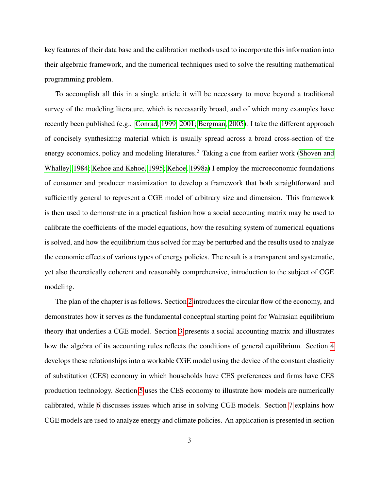key features of their data base and the calibration methods used to incorporate this information into their algebraic framework, and the numerical techniques used to solve the resulting mathematical programming problem.

To accomplish all this in a single article it will be necessary to move beyond a traditional survey of the modeling literature, which is necessarily broad, and of which many examples have recently been published (e.g., [Conrad, 1999,](#page-53-1) [2001;](#page-54-0) [Bergman, 2005\)](#page-53-2). I take the different approach of concisely synthesizing material which is usually spread across a broad cross-section of the energy economics, policy and modeling literatures.<sup>2</sup> Taking a cue from earlier work [\(Shoven and](#page-59-0) [Whalley, 1984;](#page-59-0) [Kehoe and Kehoe, 1995;](#page-56-0) [Kehoe, 1998a\)](#page-57-0) I employ the microeconomic foundations of consumer and producer maximization to develop a framework that both straightforward and sufficiently general to represent a CGE model of arbitrary size and dimension. This framework is then used to demonstrate in a practical fashion how a social accounting matrix may be used to calibrate the coefficients of the model equations, how the resulting system of numerical equations is solved, and how the equilibrium thus solved for may be perturbed and the results used to analyze the economic effects of various types of energy policies. The result is a transparent and systematic, yet also theoretically coherent and reasonably comprehensive, introduction to the subject of CGE modeling.

The plan of the chapter is as follows. Section [2](#page-3-0) introduces the circular flow of the economy, and demonstrates how it serves as the fundamental conceptual starting point for Walrasian equilibrium theory that underlies a CGE model. Section [3](#page-6-0) presents a social accounting matrix and illustrates how the algebra of its accounting rules reflects the conditions of general equilibrium. Section [4](#page-9-0) develops these relationships into a workable CGE model using the device of the constant elasticity of substitution (CES) economy in which households have CES preferences and firms have CES production technology. Section [5](#page-17-0) uses the CES economy to illustrate how models are numerically calibrated, while [6](#page-22-0) discusses issues which arise in solving CGE models. Section [7](#page-26-0) explains how CGE models are used to analyze energy and climate policies. An application is presented in section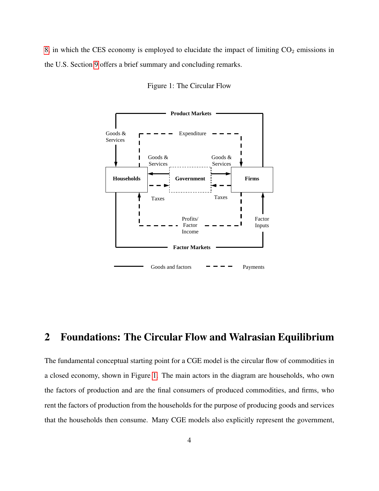[8,](#page-36-0) in which the CES economy is employed to elucidate the impact of limiting  $CO<sub>2</sub>$  emissions in the U.S. Section [9](#page-49-0) offers a brief summary and concluding remarks.



<span id="page-3-1"></span>Figure 1: The Circular Flow

## <span id="page-3-0"></span>2 Foundations: The Circular Flow and Walrasian Equilibrium

The fundamental conceptual starting point for a CGE model is the circular flow of commodities in a closed economy, shown in Figure [1.](#page-3-1) The main actors in the diagram are households, who own the factors of production and are the final consumers of produced commodities, and firms, who rent the factors of production from the households for the purpose of producing goods and services that the households then consume. Many CGE models also explicitly represent the government,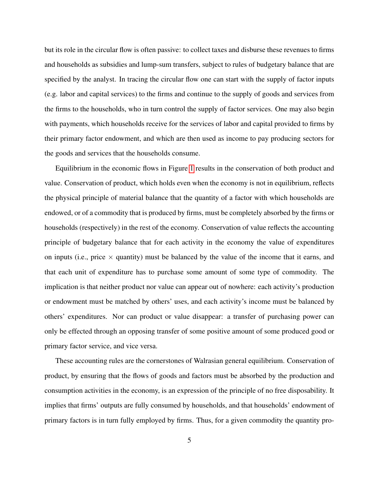but its role in the circular flow is often passive: to collect taxes and disburse these revenues to firms and households as subsidies and lump-sum transfers, subject to rules of budgetary balance that are specified by the analyst. In tracing the circular flow one can start with the supply of factor inputs (e.g. labor and capital services) to the firms and continue to the supply of goods and services from the firms to the households, who in turn control the supply of factor services. One may also begin with payments, which households receive for the services of labor and capital provided to firms by their primary factor endowment, and which are then used as income to pay producing sectors for the goods and services that the households consume.

Equilibrium in the economic flows in Figure [1](#page-3-1) results in the conservation of both product and value. Conservation of product, which holds even when the economy is not in equilibrium, reflects the physical principle of material balance that the quantity of a factor with which households are endowed, or of a commodity that is produced by firms, must be completely absorbed by the firms or households (respectively) in the rest of the economy. Conservation of value reflects the accounting principle of budgetary balance that for each activity in the economy the value of expenditures on inputs (i.e., price  $\times$  quantity) must be balanced by the value of the income that it earns, and that each unit of expenditure has to purchase some amount of some type of commodity. The implication is that neither product nor value can appear out of nowhere: each activity's production or endowment must be matched by others' uses, and each activity's income must be balanced by others' expenditures. Nor can product or value disappear: a transfer of purchasing power can only be effected through an opposing transfer of some positive amount of some produced good or primary factor service, and vice versa.

These accounting rules are the cornerstones of Walrasian general equilibrium. Conservation of product, by ensuring that the flows of goods and factors must be absorbed by the production and consumption activities in the economy, is an expression of the principle of no free disposability. It implies that firms' outputs are fully consumed by households, and that households' endowment of primary factors is in turn fully employed by firms. Thus, for a given commodity the quantity pro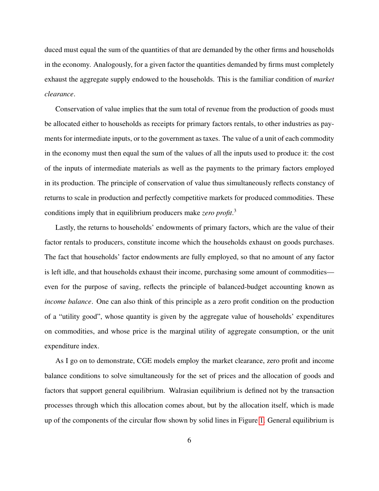duced must equal the sum of the quantities of that are demanded by the other firms and households in the economy. Analogously, for a given factor the quantities demanded by firms must completely exhaust the aggregate supply endowed to the households. This is the familiar condition of *market clearance*.

Conservation of value implies that the sum total of revenue from the production of goods must be allocated either to households as receipts for primary factors rentals, to other industries as payments for intermediate inputs, or to the government as taxes. The value of a unit of each commodity in the economy must then equal the sum of the values of all the inputs used to produce it: the cost of the inputs of intermediate materials as well as the payments to the primary factors employed in its production. The principle of conservation of value thus simultaneously reflects constancy of returns to scale in production and perfectly competitive markets for produced commodities. These conditions imply that in equilibrium producers make *zero profit*. 3

Lastly, the returns to households' endowments of primary factors, which are the value of their factor rentals to producers, constitute income which the households exhaust on goods purchases. The fact that households' factor endowments are fully employed, so that no amount of any factor is left idle, and that households exhaust their income, purchasing some amount of commodities even for the purpose of saving, reflects the principle of balanced-budget accounting known as *income balance*. One can also think of this principle as a zero profit condition on the production of a "utility good", whose quantity is given by the aggregate value of households' expenditures on commodities, and whose price is the marginal utility of aggregate consumption, or the unit expenditure index.

As I go on to demonstrate, CGE models employ the market clearance, zero profit and income balance conditions to solve simultaneously for the set of prices and the allocation of goods and factors that support general equilibrium. Walrasian equilibrium is defined not by the transaction processes through which this allocation comes about, but by the allocation itself, which is made up of the components of the circular flow shown by solid lines in Figure [1.](#page-3-1) General equilibrium is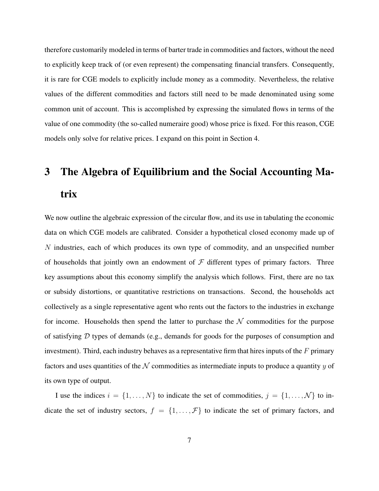therefore customarily modeled in terms of barter trade in commodities and factors, without the need to explicitly keep track of (or even represent) the compensating financial transfers. Consequently, it is rare for CGE models to explicitly include money as a commodity. Nevertheless, the relative values of the different commodities and factors still need to be made denominated using some common unit of account. This is accomplished by expressing the simulated flows in terms of the value of one commodity (the so-called numeraire good) whose price is fixed. For this reason, CGE models only solve for relative prices. I expand on this point in Section 4.

## <span id="page-6-0"></span>3 The Algebra of Equilibrium and the Social Accounting Matrix

We now outline the algebraic expression of the circular flow, and its use in tabulating the economic data on which CGE models are calibrated. Consider a hypothetical closed economy made up of N industries, each of which produces its own type of commodity, and an unspecified number of households that jointly own an endowment of  $\mathcal F$  different types of primary factors. Three key assumptions about this economy simplify the analysis which follows. First, there are no tax or subsidy distortions, or quantitative restrictions on transactions. Second, the households act collectively as a single representative agent who rents out the factors to the industries in exchange for income. Households then spend the latter to purchase the  $N$  commodities for the purpose of satisfying  $D$  types of demands (e.g., demands for goods for the purposes of consumption and investment). Third, each industry behaves as a representative firm that hires inputs of the  $F$  primary factors and uses quantities of the  $N$  commodities as intermediate inputs to produce a quantity  $y$  of its own type of output.

I use the indices  $i = \{1, \ldots, N\}$  to indicate the set of commodities,  $j = \{1, \ldots, N\}$  to indicate the set of industry sectors,  $f = \{1, \ldots, \mathcal{F}\}\$ to indicate the set of primary factors, and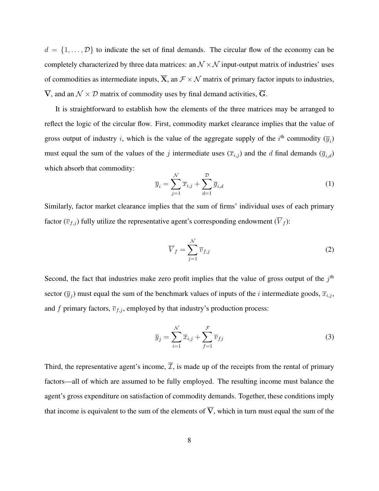$d = \{1, \ldots, D\}$  to indicate the set of final demands. The circular flow of the economy can be completely characterized by three data matrices: an  $N \times N$  input-output matrix of industries' uses of commodities as intermediate inputs,  $\overline{X}$ , an  $\mathcal{F} \times \mathcal{N}$  matrix of primary factor inputs to industries,  $\overline{V}$ , and an  $\mathcal{N} \times \mathcal{D}$  matrix of commodity uses by final demand activities,  $\overline{G}$ .

It is straightforward to establish how the elements of the three matrices may be arranged to reflect the logic of the circular flow. First, commodity market clearance implies that the value of gross output of industry *i*, which is the value of the aggregate supply of the *i*<sup>th</sup> commodity  $(\bar{y}_i)$ must equal the sum of the values of the j intermediate uses  $(\overline{x}_{i,j})$  and the d final demands  $(\overline{g}_{i,d})$ which absorb that commodity:

<span id="page-7-1"></span>
$$
\overline{y}_i = \sum_{j=1}^N \overline{x}_{i,j} + \sum_{d=1}^D \overline{g}_{i,d}
$$
 (1)

Similarly, factor market clearance implies that the sum of firms' individual uses of each primary factor  $(\overline{v}_{f,j})$  fully utilize the representative agent's corresponding endowment  $(\overline{V}_f)$ :

<span id="page-7-0"></span>
$$
\overline{V}_f = \sum_{j=1}^{N} \overline{v}_{f,j} \tag{2}
$$

Second, the fact that industries make zero profit implies that the value of gross output of the  $j<sup>th</sup>$ sector  $(\overline{y}_j)$  must equal the sum of the benchmark values of inputs of the *i* intermediate goods,  $\overline{x}_{i,j}$ , and f primary factors,  $\overline{v}_{f,j}$ , employed by that industry's production process:

<span id="page-7-2"></span>
$$
\overline{y}_j = \sum_{i=1}^N \overline{x}_{i,j} + \sum_{f=1}^{\mathcal{F}} \overline{v}_{fj}
$$
\n(3)

Third, the representative agent's income,  $\overline{\mathcal{I}}$ , is made up of the receipts from the rental of primary factors—all of which are assumed to be fully employed. The resulting income must balance the agent's gross expenditure on satisfaction of commodity demands. Together, these conditions imply that income is equivalent to the sum of the elements of  $\overline{V}$ , which in turn must equal the sum of the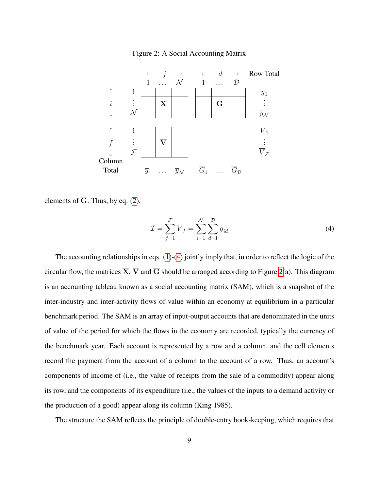

<span id="page-8-1"></span>Figure 2: A Social Accounting Matrix

elements of  $\overline{G}$ . Thus, by eq. [\(2\)](#page-7-0),

<span id="page-8-0"></span>
$$
\overline{\mathcal{I}} = \sum_{f=1}^{\mathcal{F}} \overline{V}_f = \sum_{i=1}^{\mathcal{N}} \sum_{d=1}^{\mathcal{D}} \overline{g}_{id} \tag{4}
$$

The accounting relationships in eqs. [\(1\)](#page-7-1)-[\(4\)](#page-8-0) jointly imply that, in order to reflect the logic of the circular flow, the matrices  $\overline{X}$ ,  $\overline{V}$  and  $\overline{G}$  should be arranged according to Figure [2\(](#page-8-1)a). This diagram is an accounting tableau known as a social accounting matrix (SAM), which is a snapshot of the inter-industry and inter-activity flows of value within an economy at equilibrium in a particular benchmark period. The SAM is an array of input-output accounts that are denominated in the units of value of the period for which the flows in the economy are recorded, typically the currency of the benchmark year. Each account is represented by a row and a column, and the cell elements record the payment from the account of a column to the account of a row. Thus, an account's components of income of (i.e., the value of receipts from the sale of a commodity) appear along its row, and the components of its expenditure (i.e., the values of the inputs to a demand activity or the production of a good) appear along its column (King 1985).

The structure the SAM reflects the principle of double-entry book-keeping, which requires that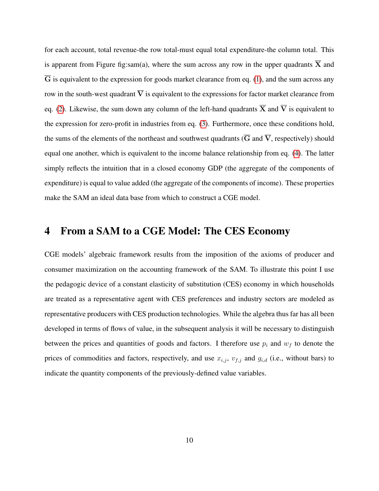for each account, total revenue-the row total-must equal total expenditure-the column total. This is apparent from Figure fig:sam(a), where the sum across any row in the upper quadrants  $\overline{X}$  and  $\overline{G}$  is equivalent to the expression for goods market clearance from eq. [\(1\)](#page-7-1), and the sum across any row in the south-west quadrant  $\overline{V}$  is equivalent to the expressions for factor market clearance from eq. [\(2\)](#page-7-0). Likewise, the sum down any column of the left-hand quadrants  $\overline{X}$  and  $\overline{V}$  is equivalent to the expression for zero-profit in industries from eq. [\(3\)](#page-7-2). Furthermore, once these conditions hold, the sums of the elements of the northeast and southwest quadrants ( $\overline{G}$  and  $\overline{V}$ , respectively) should equal one another, which is equivalent to the income balance relationship from eq. [\(4\)](#page-8-0). The latter simply reflects the intuition that in a closed economy GDP (the aggregate of the components of expenditure) is equal to value added (the aggregate of the components of income). These properties make the SAM an ideal data base from which to construct a CGE model.

## <span id="page-9-0"></span>4 From a SAM to a CGE Model: The CES Economy

CGE models' algebraic framework results from the imposition of the axioms of producer and consumer maximization on the accounting framework of the SAM. To illustrate this point I use the pedagogic device of a constant elasticity of substitution (CES) economy in which households are treated as a representative agent with CES preferences and industry sectors are modeled as representative producers with CES production technologies. While the algebra thus far has all been developed in terms of flows of value, in the subsequent analysis it will be necessary to distinguish between the prices and quantities of goods and factors. I therefore use  $p_i$  and  $w_f$  to denote the prices of commodities and factors, respectively, and use  $x_{i,j}$ ,  $v_{f,j}$  and  $g_{i,d}$  (i.e., without bars) to indicate the quantity components of the previously-defined value variables.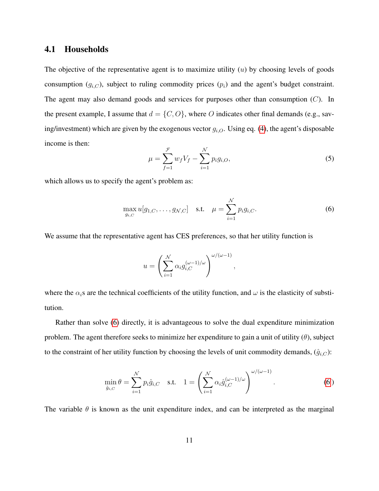#### 4.1 Households

The objective of the representative agent is to maximize utility  $(u)$  by choosing levels of goods consumption  $(g_{i,C})$ , subject to ruling commodity prices  $(p_i)$  and the agent's budget constraint. The agent may also demand goods and services for purposes other than consumption  $(C)$ . In the present example, I assume that  $d = \{C, O\}$ , where O indicates other final demands (e.g., saving/investment) which are given by the exogenous vector  $g_{i,O}$ . Using eq. [\(4\)](#page-8-0), the agent's disposable income is then:

$$
\mu = \sum_{f=1}^{\mathcal{F}} w_f V_f - \sum_{i=1}^{N} p_i g_{i,O},
$$
\n(5)

which allows us to specify the agent's problem as:

<span id="page-10-0"></span>
$$
\max_{g_{i,C}} u[g_{1,C}, \dots, g_{N,C}] \text{ s.t. } \mu = \sum_{i=1}^{N} p_i g_{i,C}. \tag{6}
$$

We assume that the representative agent has CES preferences, so that her utility function is

$$
u = \left(\sum_{i=1}^N \alpha_i g_{i,C}^{(\omega-1)/\omega}\right)^{\omega/(\omega-1)},
$$

where the  $\alpha_i$ s are the technical coefficients of the utility function, and  $\omega$  is the elasticity of substitution.

Rather than solve [\(6\)](#page-10-0) directly, it is advantageous to solve the dual expenditure minimization problem. The agent therefore seeks to minimize her expenditure to gain a unit of utility  $(\theta)$ , subject to the constraint of her utility function by choosing the levels of unit commodity demands,  $(\hat{g}_{i,C})$ :

<span id="page-10-1"></span>
$$
\min_{\hat{g}_{i,C}} \theta = \sum_{i=1}^{\mathcal{N}} p_i \hat{g}_{i,C} \quad \text{s.t.} \quad 1 = \left( \sum_{i=1}^{\mathcal{N}} \alpha_i \hat{g}_{i,C}^{(\omega-1)/\omega} \right)^{\omega/(\omega-1)}.
$$

The variable  $\theta$  is known as the unit expenditure index, and can be interpreted as the marginal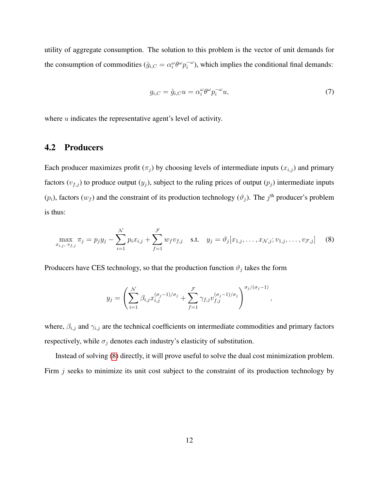utility of aggregate consumption. The solution to this problem is the vector of unit demands for the consumption of commodities  $(\hat{g}_{i,C} = \alpha_i^{\omega} \theta^{\omega} p_i^{-\omega})$  $i^{\omega}$ ), which implies the conditional final demands:

$$
g_{i,C} = \hat{g}_{i,C} u = \alpha_i^{\omega} \theta^{\omega} p_i^{-\omega} u,\tag{7}
$$

,

where *u* indicates the representative agent's level of activity.

#### 4.2 Producers

Each producer maximizes profit  $(\pi_j)$  by choosing levels of intermediate inputs  $(x_{i,j})$  and primary factors  $(v_{f,j})$  to produce output  $(y_j)$ , subject to the ruling prices of output  $(p_j)$  intermediate inputs  $(p_i)$ , factors  $(w_f)$  and the constraint of its production technology  $(\vartheta_j)$ . The j<sup>th</sup> producer's problem is thus:

<span id="page-11-0"></span>
$$
\max_{x_{i,j}, v_{f,j}} \pi_j = p_j y_j - \sum_{i=1}^N p_i x_{i,j} + \sum_{f=1}^{\mathcal{F}} w_f v_{f,j} \quad \text{s.t.} \quad y_j = \vartheta_j [x_{1,j}, \dots, x_{N,j}; v_{1,j}, \dots, v_{\mathcal{F},j}] \tag{8}
$$

Producers have CES technology, so that the production function  $\vartheta_j$  takes the form

$$
y_j = \left(\sum_{i=1}^{N} \beta_{i,j} x_{i,j}^{(\sigma_j - 1)/\sigma_j} + \sum_{f=1}^{F} \gamma_{f,j} v_{f,j}^{(\sigma_j - 1)/\sigma_j}\right)^{\sigma_j/(\sigma_j - 1)}
$$

where,  $\beta_{i,j}$  and  $\gamma_{i,j}$  are the technical coefficients on intermediate commodities and primary factors respectively, while  $\sigma_j$  denotes each industry's elasticity of substitution.

Instead of solving [\(8\)](#page-11-0) directly, it will prove useful to solve the dual cost minimization problem. Firm  $j$  seeks to minimize its unit cost subject to the constraint of its production technology by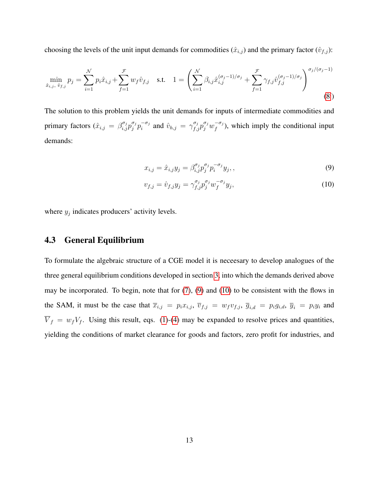choosing the levels of the unit input demands for commodities  $(\hat{x}_{i,j})$  and the primary factor  $(\hat{v}_{f,j})$ :

<span id="page-12-0"></span>
$$
\min_{\hat{x}_{i,j}, \hat{v}_{f,j}} p_j = \sum_{i=1}^{N} p_i \hat{x}_{i,j} + \sum_{f=1}^{\mathcal{F}} w_f \hat{v}_{f,j} \quad \text{s.t.} \quad 1 = \left( \sum_{i=1}^{N} \beta_{i,j} \hat{x}_{i,j}^{(\sigma_j - 1)/\sigma_j} + \sum_{f=1}^{\mathcal{F}} \gamma_{f,j} \hat{v}_{f,j}^{(\sigma_j - 1)/\sigma_j} \right)^{\sigma_j/(\sigma_j - 1)} \tag{8'}
$$

The solution to this problem yields the unit demands for inputs of intermediate commodities and primary factors  $(\hat{x}_{i,j} = \beta_{i,j}^{\sigma_j} p_j^{\sigma_j})$  $\int_j^{\sigma_j} p_i^{-\sigma_j}$  $i^{-\sigma_j}$  and  $\hat{v}_{h,j} = \gamma^{\sigma_j}_{f,j} p_j^{\sigma_j} w_f^{-\sigma_j}$  $f_f^{-\sigma_j}$ ), which imply the conditional input demands:

<span id="page-12-1"></span>
$$
x_{i,j} = \hat{x}_{i,j} y_j = \beta_{i,j}^{\sigma_j} p_j^{\sigma_j} p_i^{-\sigma_j} y_j, \qquad (9)
$$

$$
v_{f,j} = \hat{v}_{f,j} y_j = \gamma_{f,j}^{\sigma_j} p_j^{\sigma_j} w_f^{-\sigma_j} y_j,
$$
\n(10)

where  $y_j$  indicates producers' activity levels.

#### 4.3 General Equilibrium

To formulate the algebraic structure of a CGE model it is neceesary to develop analogues of the three general equilibrium conditions developed in section [3,](#page-6-0) into which the demands derived above may be incorporated. To begin, note that for [\(7\)](#page-10-1), [\(9\)](#page-12-0) and [\(10\)](#page-12-1) to be consistent with the flows in the SAM, it must be the case that  $\overline{x}_{i,j} = p_i x_{i,j}, \overline{v}_{f,j} = w_f v_{f,j}, \overline{g}_{i,d} = p_i g_{i,d}, \overline{y}_i = p_i y_i$  and  $\overline{V}_f = w_f V_f$ . Using this result, eqs. [\(1\)](#page-7-1)-[\(4\)](#page-8-0) may be expanded to resolve prices and quantities, yielding the conditions of market clearance for goods and factors, zero profit for industries, and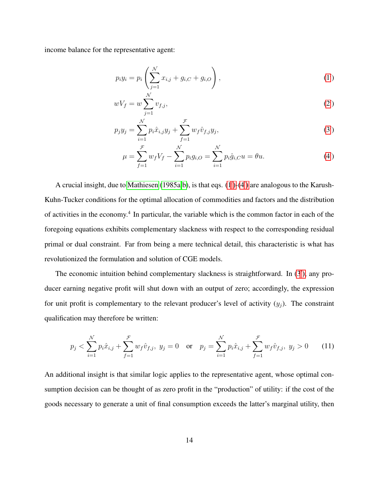income balance for the representative agent:

<span id="page-13-0"></span>
$$
p_i y_i = p_i \left( \sum_{j=1}^{N} x_{i,j} + g_{i,C} + g_{i,O} \right), \tag{1'}
$$

<span id="page-13-3"></span>
$$
wV_f = w \sum_{j=1}^{N} v_{f,j},\tag{2'}
$$

$$
p_j y_j = \sum_{i=1}^{N} p_i \hat{x}_{i,j} y_j + \sum_{f=1}^{F} w_f \hat{v}_{f,j} y_j,
$$
\n(3')

<span id="page-13-2"></span><span id="page-13-1"></span>
$$
\mu = \sum_{f=1}^{\mathcal{F}} w_f V_f - \sum_{i=1}^{N} p_i g_{i,O} = \sum_{i=1}^{N} p_i \hat{g}_{i,C} u = \theta u.
$$
 (4')

A crucial insight, due to [Mathiesen](#page-58-0) [\(1985a,](#page-58-0)[b\)](#page-58-1), is that eqs.  $(1')-(4')$  $(1')-(4')$  $(1')-(4')$  $(1')-(4')$  are analogous to the Karush-Kuhn-Tucker conditions for the optimal allocation of commodities and factors and the distribution of activities in the economy.<sup>4</sup> In particular, the variable which is the common factor in each of the foregoing equations exhibits complementary slackness with respect to the corresponding residual primal or dual constraint. Far from being a mere technical detail, this characteristic is what has revolutionized the formulation and solution of CGE models.

The economic intuition behind complementary slackness is straightforward. In  $(3')$  $(3')$ , any producer earning negative profit will shut down with an output of zero; accordingly, the expression for unit profit is complementary to the relevant producer's level of activity  $(y_i)$ . The constraint qualification may therefore be written:

<span id="page-13-4"></span>
$$
p_j < \sum_{i=1}^N p_i \hat{x}_{i,j} + \sum_{f=1}^T w_f \hat{v}_{f,j}, \ y_j = 0 \quad \text{or} \quad p_j = \sum_{i=1}^N p_i \hat{x}_{i,j} + \sum_{f=1}^T w_f \hat{v}_{f,j}, \ y_j > 0 \tag{11}
$$

An additional insight is that similar logic applies to the representative agent, whose optimal consumption decision can be thought of as zero profit in the "production" of utility: if the cost of the goods necessary to generate a unit of final consumption exceeds the latter's marginal utility, then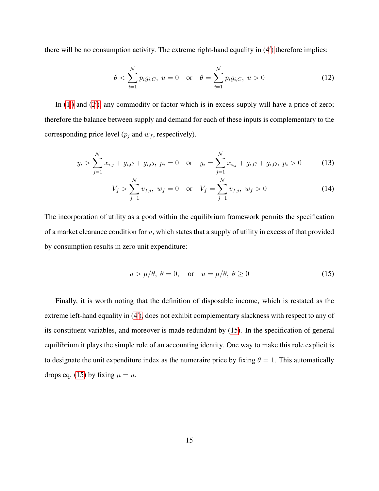there will be no consumption activity. The extreme right-hand equality in [\(4](#page-13-1)') therefore implies:

$$
\theta < \sum_{i=1}^{N} p_i g_{i,C}, \ u = 0 \quad \text{or} \quad \theta = \sum_{i=1}^{N} p_i g_{i,C}, \ u > 0
$$
\n(12)

In [\(1](#page-13-0)') and [\(2](#page-13-3)'), any commodity or factor which is in excess supply will have a price of zero; therefore the balance between supply and demand for each of these inputs is complementary to the corresponding price level  $(p_j \text{ and } w_f, \text{ respectively}).$ 

$$
y_i > \sum_{j=1}^{N} x_{i,j} + g_{i,C} + g_{i,O}, \ p_i = 0 \quad \text{or} \quad y_i = \sum_{j=1}^{N} x_{i,j} + g_{i,C} + g_{i,O}, \ p_i > 0 \tag{13}
$$

$$
V_f > \sum_{j=1}^{N} v_{f,j}, \ w_f = 0 \quad \text{or} \quad V_f = \sum_{j=1}^{N} v_{f,j}, \ w_f > 0 \tag{14}
$$

The incorporation of utility as a good within the equilibrium framework permits the specification of a market clearance condition for  $u$ , which states that a supply of utility in excess of that provided by consumption results in zero unit expenditure:

<span id="page-14-0"></span>
$$
u > \mu/\theta, \ \theta = 0, \quad \text{or} \quad u = \mu/\theta, \ \theta \ge 0 \tag{15}
$$

Finally, it is worth noting that the definition of disposable income, which is restated as the extreme left-hand equality in [\(4](#page-13-1)'), does not exhibit complementary slackness with respect to any of its constituent variables, and moreover is made redundant by [\(15\)](#page-14-0). In the specification of general equilibrium it plays the simple role of an accounting identity. One way to make this role explicit is to designate the unit expenditure index as the numeraire price by fixing  $\theta = 1$ . This automatically drops eq. [\(15\)](#page-14-0) by fixing  $\mu = u$ .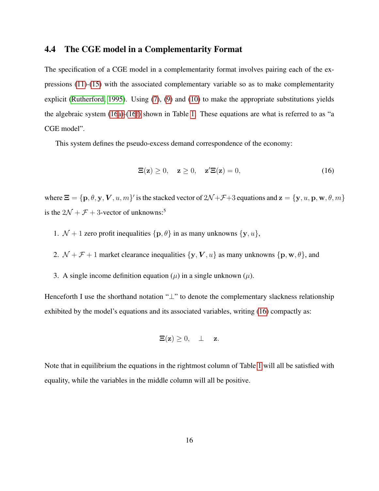#### 4.4 The CGE model in a Complementarity Format

The specification of a CGE model in a complementarity format involves pairing each of the expressions [\(11\)](#page-13-4)-[\(15\)](#page-14-0) with the associated complementary variable so as to make complementarity explicit [\(Rutherford, 1995\)](#page-59-1). Using [\(7\)](#page-10-1), [\(9\)](#page-12-0) and [\(10\)](#page-12-1) to make the appropriate substitutions yields the algebraic system [\(16a\)-](#page-16-0)[\(16f\)](#page-16-1) shown in Table [1.](#page-16-2) These equations are what is referred to as "a CGE model".

This system defines the pseudo-excess demand correspondence of the economy:

<span id="page-15-0"></span>
$$
\Xi(z) \ge 0, \quad z \ge 0, \quad z' \Xi(z) = 0,
$$
\n(16)

where  $\Xi = \{p, \theta, y, V, u, m\}'$  is the stacked vector of  $2\mathcal{N} + \mathcal{F} + 3$  equations and  $z = \{y, u, p, w, \theta, m\}$ is the  $2\mathcal{N} + \mathcal{F} + 3$ -vector of unknowns:<sup>5</sup>

- 1.  $\mathcal{N} + 1$  zero profit inequalities  $\{p, \theta\}$  in as many unknowns  $\{y, u\}$ ,
- 2.  $\mathcal{N} + \mathcal{F} + 1$  market clearance inequalities  $\{y, V, u\}$  as many unknowns  $\{p, w, \theta\}$ , and
- 3. A single income definition equation ( $\mu$ ) in a single unknown ( $\mu$ ).

Henceforth I use the shorthand notation "⊥" to denote the complementary slackness relationship exhibited by the model's equations and its associated variables, writing [\(16\)](#page-15-0) compactly as:

$$
\Xi(z) \geq 0, \quad \bot \quad z.
$$

Note that in equilibrium the equations in the rightmost column of Table [1](#page-16-2) will all be satisfied with equality, while the variables in the middle column will all be positive.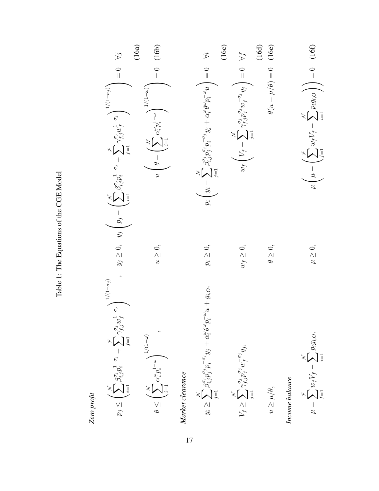(16a)<br> $u\left(\theta - \left(\sum_{i=1}^{N} \alpha_i^{\omega} p_i^{1-\omega}\right)^{1/(1-\omega)}\right) = 0$  (16b) (16d) (16c)  $u\left(\mu - \left(\sum_{f=1}^{F} w_f V_f - \sum_{i=1}^{N} p_i g_{i,O}\right)\right) = 0$  (16f)  $\theta \leq \left(\sum_{i=1}^N \alpha_i^{\omega} p_i^{1-\omega}\right)^{1/(1-\omega)}, \qquad u \geq 0, \qquad u \geq 0,$   $u \geq 0,$   $u \geq 0$  $u \ge \mu/\theta$ ,  $\theta > \mu/\theta$ ,  $\theta \ge 0$ ,  $\theta \ge 0$ ,  $p_i g_{i,O}, \mu \ge 0, \mu \left( \mu - \left( \sum_{f=1}^{\mathcal{F}} w_f V_f - \sum_{i=1}^{\mathcal{N}} p_i g_{i,O} \right) \right) = 0$  (16f)  $\forall f$  $\forall j$  $p_i\left(y_i-\sum_{j=1}^{\mathcal{N}}\beta_{i,j}^{\sigma_j}p_j^{\sigma_j}p_i^{-\sigma_j}y_j+\alpha_i^\omega\theta^\omega p_i^{-\omega}u\right)=0\quad \forall i$  $p_j \leq \left( \sum_{i=1}^{\mathcal{N}} \beta_{i,j}^{\sigma_j} p_i^{1-\sigma_j} + \sum_{f=1}^{\mathcal{F}} \gamma_{f,j}^{\sigma_j} w_f^{1-\sigma_j} \right)^{1/(1-\sigma_j)} \ , \quad y_j \geq 0, \quad y_j \left( p_j - \left( \sum_{i=1}^{\mathcal{N}} \beta_{i,j}^{\sigma_j} p_i^{1-\sigma_j} + \sum_{f=1}^{\mathcal{F}} \gamma_{f,j}^{\sigma_j} w_f^{1-\sigma_j} \right)^{1/(1-\sigma_j)} \right) = 0 \quad \forall j$  $\beta_{i,j}^{\sigma_j}p_j^{\sigma_j}p_i^{-\sigma_j}y_j + \alpha_i^\omega\theta^\omega p_i^{-\omega}u + g_{i,O}, \hspace{0.7cm} p_i \geq 0, \hspace{0.7cm} p_i \left( y_i - \sum_{j=1}^{\mathcal{N}} \beta_{i,j}^{\sigma_j}p_j^{\sigma_j}p_i^{-\sigma_j}y_j + \alpha_i^\omega\theta^\omega p_i^{-\omega}u \right) = 0 \hspace{0.3cm} \forall i$  $\left( \begin{array}{cc} v_j w_f^{-\sigma_j} y_j, & w_f \ge 0, & w_f w_f \end{array} \right) = 0 \quad \forall f \left( V_f - \sum_{j=1}^{\mathcal{N}} \gamma_{f,j}^{\sigma_j} p_j^{\sigma_j} w_f^{-\sigma_j} y_j \right) = 0 \quad \forall f \in \mathcal{F}$  $y_j \geq 0, \ \ y_j\left(p_j - \left(\sum_{i=1}^{\mathcal{N}} \beta_{i,j}^{\sigma_j} p_i^{1-\sigma_j} + \sum_{f=1}^{\mathcal{F}} \gamma_{f,j}^{\sigma_j} w_f^{1-\sigma_j}\right)^{1/(1-\sigma_j)}\right) = 0$  $\theta(u-\mu/\theta)=0$  $w_f\left(V_f-\sum_{j=1}^{\mathcal{N}}\gamma_{f,j}^{\sigma_j}p_j^{\sigma_j}w_f^{-\sigma_j}y_j\right)=0$  $u\geq 0,$  $p_i \geq 0,$  $w_f \geq 0,$  $\theta \geq 0,$  $\mu \geq 0,$  $p_j \leq \left(\sum_{i=1}^{\mathcal{N}} \beta_{i,j}^{\sigma_j} p_i^{1-\sigma_j} + \sum_{f=1}^{\mathcal{F}} \gamma_{f,j}^{\sigma_j} w_f^{1-\sigma_j}\right)^{1/(1-\sigma_j)},$  $\theta \leq \left( \sum_{i=1}^N \alpha_i^\omega p_i^{1-\omega} \right)^{1/(1-\omega)},$  $w_f V_f - \sum_{i=1}^{\mathcal{N}}$ Market clearance  $\sigma_j \sigma_j$ Income balance  $u \geq \mu/\theta$ , *Income balance* γ

Table 1: The Equations of the CGE Model Table 1: The Equations of the CGE Model

*Zero profit*

*Market clearance*

17

 $y_i \geq$ 

 $\frac{\lambda}{\sum}$ 

<span id="page-16-4"></span><span id="page-16-3"></span><span id="page-16-1"></span><span id="page-16-0"></span>µ =

<span id="page-16-2"></span> $\mu \left[ \bigwedge_{i=1}^n \mathbb{I}_i \right]$ 

 $\leq \bigwedge_{i=1}^n$ 

 $\sum_{i=1}^{n}$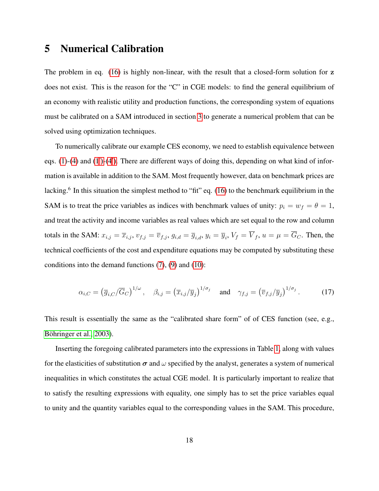## <span id="page-17-0"></span>5 Numerical Calibration

The problem in eq. [\(16\)](#page-15-0) is highly non-linear, with the result that a closed-form solution for z does not exist. This is the reason for the "C" in CGE models: to find the general equilibrium of an economy with realistic utility and production functions, the corresponding system of equations must be calibrated on a SAM introduced in section [3](#page-6-0) to generate a numerical problem that can be solved using optimization techniques.

To numerically calibrate our example CES economy, we need to establish equivalence between eqs. [\(1\)](#page-7-1)-[\(4\)](#page-8-0) and [\(1](#page-13-0)')-[\(4](#page-13-1)'[\)](#page-13-1). There are different ways of doing this, depending on what kind of information is available in addition to the SAM. Most frequently however, data on benchmark prices are lacking.<sup>6</sup> In this situation the simplest method to "fit" eq. [\(16\)](#page-15-0) to the benchmark equilibrium in the SAM is to treat the price variables as indices with benchmark values of unity:  $p_i = w_f = \theta = 1$ , and treat the activity and income variables as real values which are set equal to the row and column totals in the SAM:  $x_{i,j} = \overline{x}_{i,j}$ ,  $v_{f,j} = \overline{v}_{f,j}$ ,  $g_{i,d} = \overline{g}_{i,d}$ ,  $y_i = \overline{y}_i$ ,  $V_f = V_f$ ,  $u = \mu = G_C$ . Then, the technical coefficients of the cost and expenditure equations may be computed by substituting these conditions into the demand functions [\(7\)](#page-10-1), [\(9\)](#page-12-0) and [\(10\)](#page-12-1):

<span id="page-17-1"></span>
$$
\alpha_{i,C} = \left(\overline{g}_{i,C}/\overline{G}_C\right)^{1/\omega}, \quad \beta_{i,j} = \left(\overline{x}_{i,j}/\overline{y}_j\right)^{1/\sigma_j} \quad \text{and} \quad \gamma_{f,j} = \left(\overline{v}_{f,j}/\overline{y}_j\right)^{1/\sigma_j}.
$$
 (17)

This result is essentially the same as the "calibrated share form" of of CES function (see, e.g., [Böhringer et al., 2003\)](#page-53-3).

Inserting the foregoing calibrated parameters into the expressions in Table [1,](#page-16-2) along with values for the elasticities of substitution  $\sigma$  and  $\omega$  specified by the analyst, generates a system of numerical inequalities in which constitutes the actual CGE model. It is particularly important to realize that to satisfy the resulting expressions with equality, one simply has to set the price variables equal to unity and the quantity variables equal to the corresponding values in the SAM. This procedure,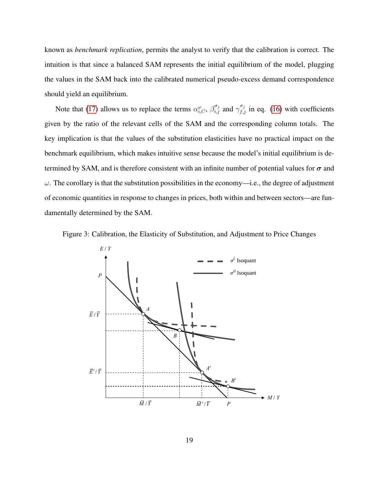known as *benchmark replication*, permits the analyst to verify that the calibration is correct. The intuition is that since a balanced SAM represents the initial equilibrium of the model, plugging the values in the SAM back into the calibrated numerical pseudo-excess demand correspondence should yield an equilibrium.

Note that [\(17\)](#page-17-1) allows us to replace the terms  $\alpha_{i,C}^{\omega}$ ,  $\beta_{i,j}^{\sigma_j}$  and  $\gamma_{f,j}^{\sigma_j}$  in eq. [\(16\)](#page-15-0) with coefficients given by the ratio of the relevant cells of the SAM and the corresponding column totals. The key implication is that the values of the substitution elasticities have no practical impact on the benchmark equilibrium, which makes intuitive sense because the model's initial equilibrium is determined by SAM, and is therefore consistent with an infinite number of potential values for  $\sigma$  and  $\omega$ . The corollary is that the substitution possibilities in the economy—i.e., the degree of adjustment of economic quantities in response to changes in prices, both within and between sectors—are fundamentally determined by the SAM.



<span id="page-18-0"></span>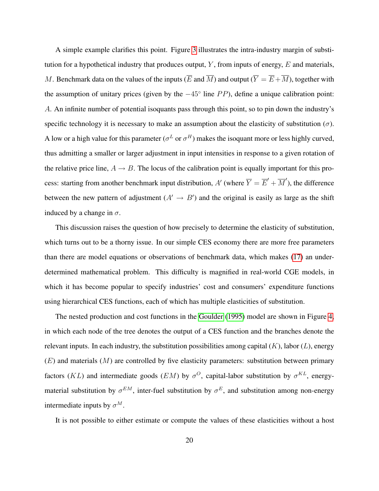A simple example clarifies this point. Figure [3](#page-18-0) illustrates the intra-industry margin of substitution for a hypothetical industry that produces output,  $Y$ , from inputs of energy,  $E$  and materials, M. Benchmark data on the values of the inputs  $(\overline{E}$  and  $\overline{M})$  and output  $(\overline{Y} = \overline{E} + \overline{M})$ , together with the assumption of unitary prices (given by the  $-45°$  line  $PP$ ), define a unique calibration point: A. An infinite number of potential isoquants pass through this point, so to pin down the industry's specific technology it is necessary to make an assumption about the elasticity of substitution  $(\sigma)$ . A low or a high value for this parameter ( $\sigma^L$  or  $\sigma^H$ ) makes the isoquant more or less highly curved, thus admitting a smaller or larger adjustment in input intensities in response to a given rotation of the relative price line,  $A \rightarrow B$ . The locus of the calibration point is equally important for this process: starting from another benchmark input distribution, A' (where  $\overline{Y} = \overline{E}' + \overline{M}'$ ), the difference between the new pattern of adjustment  $(A' \rightarrow B')$  and the original is easily as large as the shift induced by a change in  $\sigma$ .

This discussion raises the question of how precisely to determine the elasticity of substitution, which turns out to be a thorny issue. In our simple CES economy there are more free parameters than there are model equations or observations of benchmark data, which makes [\(17\)](#page-17-1) an underdetermined mathematical problem. This difficulty is magnified in real-world CGE models, in which it has become popular to specify industries' cost and consumers' expenditure functions using hierarchical CES functions, each of which has multiple elasticities of substitution.

The nested production and cost functions in the [Goulder](#page-55-0) [\(1995\)](#page-55-0) model are shown in Figure [4,](#page-20-0) in which each node of the tree denotes the output of a CES function and the branches denote the relevant inputs. In each industry, the substitution possibilities among capital  $(K)$ , labor  $(L)$ , energy  $(E)$  and materials  $(M)$  are controlled by five elasticity parameters: substitution between primary factors (KL) and intermediate goods (EM) by  $\sigma^O$ , capital-labor substitution by  $\sigma^{KL}$ , energymaterial substitution by  $\sigma^{EM}$ , inter-fuel substitution by  $\sigma^{E}$ , and substitution among non-energy intermediate inputs by  $\sigma^M$ .

It is not possible to either estimate or compute the values of these elasticities without a host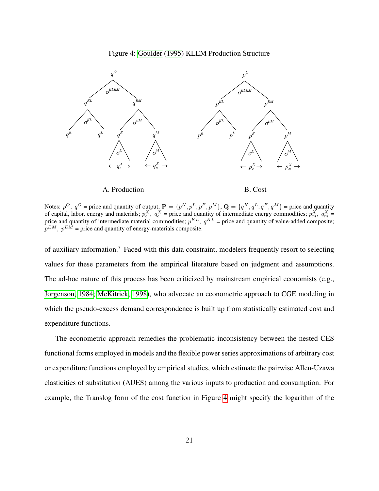#### <span id="page-20-0"></span>Figure 4: [Goulder](#page-55-0) [\(1995\)](#page-55-0) KLEM Production Structure



#### A. Production B. Cost

 $\frac{1}{2}$ ermed  $p^{EM}$ ,  $p^{EM}$  = price and quantity of energy-materials composite. Notes:  $p^O$ ,  $q^O$  = price and quantity of output;  $\mathbf{P} = \{p^K, p^L, p^E, p^M\}$ ,  $\mathbf{Q} = \{q^K, q^L, q^E, q^M\}$  = price and quantity of capital, labor, energy and materials;  $p_e^X$ ,  $q_e^X$  = price and quantity of intermediate energy commodities;  $p_m^X$ ,  $q_m^X$  = price and quantity of intermediate material commodities;  $p^{KL}$ ,  $q^{KL}$  = price and quantity of value-added composite;

The ad-hoc nature of this process has been criticized by mainstream empirical economists (e.g., values for these parameters from the empirical literature based on judgment and assumptions. of auxiliary information.<sup>7</sup> Faced with this data constraint, modelers frequently resort to selecting [Jorgenson, 1984;](#page-56-1) [McKitrick, 1998\)](#page-58-2), who advocate an econometric approach to CGE modeling in which the pseudo-excess demand correspondence is built up from statistically estimated cost and expenditure functions.

The econometric approach remedies the problematic inconsistency between the nested CES functional forms employed in models and the flexible power series approximations of arbitrary cost or expenditure functions employed by empirical studies, which estimate the pairwise Allen-Uzawa elasticities of substitution (AUES) among the various inputs to production and consumption. For example, the Translog form of the cost function in Figure [4](#page-20-0) might specify the logarithm of the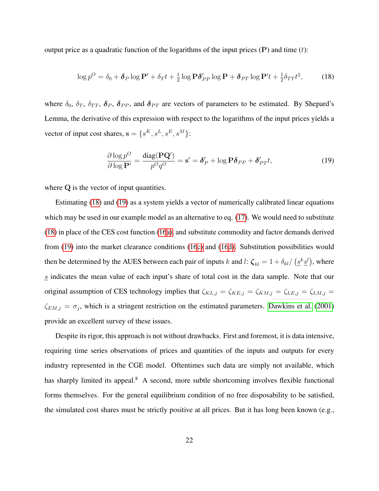output price as a quadratic function of the logarithms of the input prices  $(P)$  and time  $(t)$ :

<span id="page-21-0"></span>
$$
\log p^O = \delta_0 + \delta_P \log \mathbf{P}' + \delta_T t + \frac{1}{2} \log \mathbf{P} \delta'_{PP} \log \mathbf{P} + \delta_{PT} \log \mathbf{P}' t + \frac{1}{2} \delta_{TT} t^2, \tag{18}
$$

where  $\delta_0$ ,  $\delta_T$ ,  $\delta_{TT}$ ,  $\delta_P$ ,  $\delta_{PP}$ , and  $\delta_{PT}$  are vectors of parameters to be estimated. By Shepard's Lemma, the derivative of this expression with respect to the logarithms of the input prices yields a vector of input cost shares,  $\mathbf{s} = \{s^K, s^L, s^E, s^M\}$ :

<span id="page-21-1"></span>
$$
\frac{\partial \log p^O}{\partial \log \mathbf{P}'} = \frac{\text{diag}(\mathbf{P}\mathbf{Q}')}{p^O q^O} = \mathbf{s}' = \boldsymbol{\delta}'_P + \log \mathbf{P} \boldsymbol{\delta}_{PP} + \boldsymbol{\delta}'_{PT} t,\tag{19}
$$

where Q is the vector of input quantities.

Estimating [\(18\)](#page-21-0) and [\(19\)](#page-21-1) as a system yields a vector of numerically calibrated linear equations which may be used in our example model as an alternative to eq. [\(17\)](#page-17-1). We would need to substitute [\(18\)](#page-21-0) in place of the CES cost function [\(16a\),](#page-16-0) and substitute commodity and factor demands derived from [\(19\)](#page-21-1) into the market clearance conditions [\(16c\)](#page-16-3) and [\(16d\).](#page-16-4) Substitution possibilities would then be determined by the AUES between each pair of inputs k and l:  $\zeta_{kl} = 1 + \delta_{kl}/(\underline{s}^k \underline{s}^l)$ , where  $s$  indicates the mean value of each input's share of total cost in the data sample. Note that our original assumption of CES technology implies that  $\zeta_{KL,j} = \zeta_{KE,j} = \zeta_{KM,j} = \zeta_{LK,j} = \zeta_{LM,j}$  $\zeta_{EM,j} = \sigma_j$ , which is a stringent restriction on the estimated parameters. [Dawkins et al.](#page-54-1) [\(2001\)](#page-54-1) provide an excellent survey of these issues.

Despite its rigor, this approach is not without drawbacks. First and foremost, it is data intensive, requiring time series observations of prices and quantities of the inputs and outputs for every industry represented in the CGE model. Oftentimes such data are simply not available, which has sharply limited its appeal.<sup>8</sup> A second, more subtle shortcoming involves flexible functional forms themselves. For the general equilibrium condition of no free disposability to be satisfied, the simulated cost shares must be strictly positive at all prices. But it has long been known (e.g.,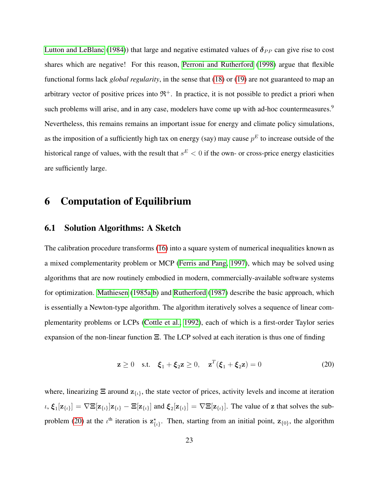[Lutton and LeBlanc](#page-57-1) [\(1984\)](#page-57-1)) that large and negative estimated values of  $\delta_{PP}$  can give rise to cost shares which are negative! For this reason, [Perroni and Rutherford](#page-59-2) [\(1998\)](#page-59-2) argue that flexible functional forms lack *global regularity*, in the sense that [\(18\)](#page-21-0) or [\(19\)](#page-21-1) are not guaranteed to map an arbitrary vector of positive prices into  $\mathfrak{R}^+$ . In practice, it is not possible to predict a priori when such problems will arise, and in any case, modelers have come up with ad-hoc countermeasures.<sup>9</sup> Nevertheless, this remains remains an important issue for energy and climate policy simulations, as the imposition of a sufficiently high tax on energy (say) may cause  $p<sup>E</sup>$  to increase outside of the historical range of values, with the result that  $s^E < 0$  if the own- or cross-price energy elasticities are sufficiently large.

## <span id="page-22-0"></span>6 Computation of Equilibrium

#### 6.1 Solution Algorithms: A Sketch

The calibration procedure transforms [\(16\)](#page-15-0) into a square system of numerical inequalities known as a mixed complementarity problem or MCP [\(Ferris and Pang, 1997\)](#page-55-1), which may be solved using algorithms that are now routinely embodied in modern, commercially-available software systems for optimization. [Mathiesen](#page-58-0) [\(1985a,](#page-58-0)[b\)](#page-58-1) and [Rutherford](#page-59-3) [\(1987\)](#page-59-3) describe the basic approach, which is essentially a Newton-type algorithm. The algorithm iteratively solves a sequence of linear complementarity problems or LCPs [\(Cottle et al., 1992\)](#page-54-2), each of which is a first-order Taylor series expansion of the non-linear function Ξ. The LCP solved at each iteration is thus one of finding

<span id="page-22-1"></span>
$$
\mathbf{z} \ge 0 \quad \text{s.t.} \quad \boldsymbol{\xi}_1 + \boldsymbol{\xi}_2 \mathbf{z} \ge 0, \quad \mathbf{z}^T(\boldsymbol{\xi}_1 + \boldsymbol{\xi}_2 \mathbf{z}) = 0 \tag{20}
$$

where, linearizing  $\Xi$  around  $z_{\{i\}}$ , the state vector of prices, activity levels and income at iteration  $\mathcal{L}, \xi_1[\mathbf{z}_{\{\iota\}}] = \nabla \Xi[\mathbf{z}_{\{\iota\}}] \mathbf{z}_{\{\iota\}} - \Xi[\mathbf{z}_{\{\iota\}}]$  and  $\xi_2[\mathbf{z}_{\{\iota\}}] = \nabla \Xi[\mathbf{z}_{\{\iota\}}]$ . The value of z that solves the sub-problem [\(20\)](#page-22-1) at the  $\iota^{\text{th}}$  iteration is  $z_{\{\iota\}}^*$ . Then, starting from an initial point,  $z_{\{0\}}$ , the algorithm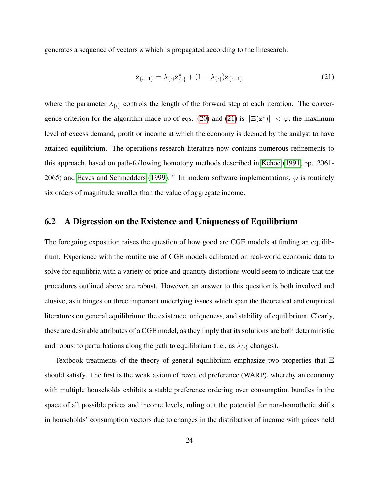generates a sequence of vectors z which is propagated according to the linesearch:

<span id="page-23-0"></span>
$$
\mathbf{z}_{\{\iota+1\}} = \lambda_{\{\iota\}} \mathbf{z}_{\{\iota\}}^{\star} + (1 - \lambda_{\{\iota\}}) \mathbf{z}_{\{\iota-1\}} \tag{21}
$$

where the parameter  $\lambda_{\{\iota\}}$  controls the length of the forward step at each iteration. The conver-gence criterion for the algorithm made up of eqs. [\(20\)](#page-22-1) and [\(21\)](#page-23-0) is  $\|\Xi(z^*)\| < \varphi$ , the maximum level of excess demand, profit or income at which the economy is deemed by the analyst to have attained equilibrium. The operations research literature now contains numerous refinements to this approach, based on path-following homotopy methods described in [Kehoe](#page-56-2) [\(1991,](#page-56-2) pp. 2061- 2065) and [Eaves and Schmedders](#page-54-3) [\(1999\)](#page-54-3).<sup>10</sup> In modern software implementations,  $\varphi$  is routinely six orders of magnitude smaller than the value of aggregate income.

#### <span id="page-23-1"></span>6.2 A Digression on the Existence and Uniqueness of Equilibrium

The foregoing exposition raises the question of how good are CGE models at finding an equilibrium. Experience with the routine use of CGE models calibrated on real-world economic data to solve for equilibria with a variety of price and quantity distortions would seem to indicate that the procedures outlined above are robust. However, an answer to this question is both involved and elusive, as it hinges on three important underlying issues which span the theoretical and empirical literatures on general equilibrium: the existence, uniqueness, and stability of equilibrium. Clearly, these are desirable attributes of a CGE model, as they imply that its solutions are both deterministic and robust to perturbations along the path to equilibrium (i.e., as  $\lambda_{\{\iota\}}$  changes).

Textbook treatments of the theory of general equilibrium emphasize two properties that Ξ should satisfy. The first is the weak axiom of revealed preference (WARP), whereby an economy with multiple households exhibits a stable preference ordering over consumption bundles in the space of all possible prices and income levels, ruling out the potential for non-homothetic shifts in households' consumption vectors due to changes in the distribution of income with prices held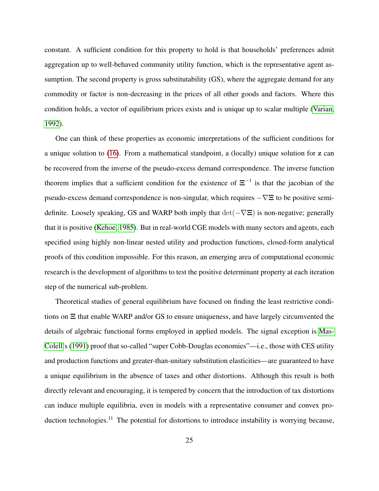constant. A sufficient condition for this property to hold is that households' preferences admit aggregation up to well-behaved community utility function, which is the representative agent assumption. The second property is gross substitutability (GS), where the aggregate demand for any commodity or factor is non-decreasing in the prices of all other goods and factors. Where this condition holds, a vector of equilibrium prices exists and is unique up to scalar multiple [\(Varian,](#page-60-0) [1992\)](#page-60-0).

One can think of these properties as economic interpretations of the sufficient conditions for a unique solution to [\(16\)](#page-15-0). From a mathematical standpoint, a (locally) unique solution for z can be recovered from the inverse of the pseudo-excess demand correspondence. The inverse function theorem implies that a sufficient condition for the existence of  $\Xi^{-1}$  is that the jacobian of the pseudo-excess demand correspondence is non-singular, which requires  $-\nabla \Xi$  to be positive semidefinite. Loosely speaking, GS and WARP both imply that  $\det(-\nabla \Xi)$  is non-negative; generally that it is positive [\(Kehoe, 1985\)](#page-56-3). But in real-world CGE models with many sectors and agents, each specified using highly non-linear nested utility and production functions, closed-form analytical proofs of this condition impossible. For this reason, an emerging area of computational economic research is the development of algorithms to test the positive determinant property at each iteration step of the numerical sub-problem.

Theoretical studies of general equilibrium have focused on finding the least restrictive conditions on Ξ that enable WARP and/or GS to ensure uniqueness, and have largely circumvented the details of algebraic functional forms employed in applied models. The signal exception is [Mas-](#page-57-2)[Colell'](#page-57-2)s [\(1991\)](#page-57-2) proof that so-called "super Cobb-Douglas economies"—i.e., those with CES utility and production functions and greater-than-unitary substitution elasticities—are guaranteed to have a unique equilibrium in the absence of taxes and other distortions. Although this result is both directly relevant and encouraging, it is tempered by concern that the introduction of tax distortions can induce multiple equilibria, even in models with a representative consumer and convex production technologies.<sup>11</sup> The potential for distortions to introduce instability is worrying because,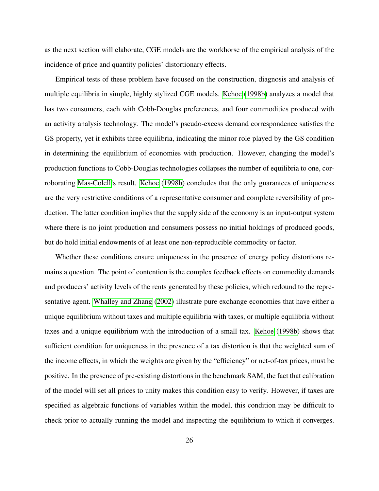as the next section will elaborate, CGE models are the workhorse of the empirical analysis of the incidence of price and quantity policies' distortionary effects.

Empirical tests of these problem have focused on the construction, diagnosis and analysis of multiple equilibria in simple, highly stylized CGE models. [Kehoe](#page-57-3) [\(1998b\)](#page-57-3) analyzes a model that has two consumers, each with Cobb-Douglas preferences, and four commodities produced with an activity analysis technology. The model's pseudo-excess demand correspondence satisfies the GS property, yet it exhibits three equilibria, indicating the minor role played by the GS condition in determining the equilibrium of economies with production. However, changing the model's production functions to Cobb-Douglas technologies collapses the number of equilibria to one, corroborating [Mas-Colell'](#page-57-2)s result. [Kehoe](#page-57-3) [\(1998b\)](#page-57-3) concludes that the only guarantees of uniqueness are the very restrictive conditions of a representative consumer and complete reversibility of production. The latter condition implies that the supply side of the economy is an input-output system where there is no joint production and consumers possess no initial holdings of produced goods, but do hold initial endowments of at least one non-reproducible commodity or factor.

Whether these conditions ensure uniqueness in the presence of energy policy distortions remains a question. The point of contention is the complex feedback effects on commodity demands and producers' activity levels of the rents generated by these policies, which redound to the representative agent. [Whalley and Zhang](#page-60-1) [\(2002\)](#page-60-1) illustrate pure exchange economies that have either a unique equilibrium without taxes and multiple equilibria with taxes, or multiple equilibria without taxes and a unique equilibrium with the introduction of a small tax. [Kehoe](#page-57-3) [\(1998b\)](#page-57-3) shows that sufficient condition for uniqueness in the presence of a tax distortion is that the weighted sum of the income effects, in which the weights are given by the "efficiency" or net-of-tax prices, must be positive. In the presence of pre-existing distortions in the benchmark SAM, the fact that calibration of the model will set all prices to unity makes this condition easy to verify. However, if taxes are specified as algebraic functions of variables within the model, this condition may be difficult to check prior to actually running the model and inspecting the equilibrium to which it converges.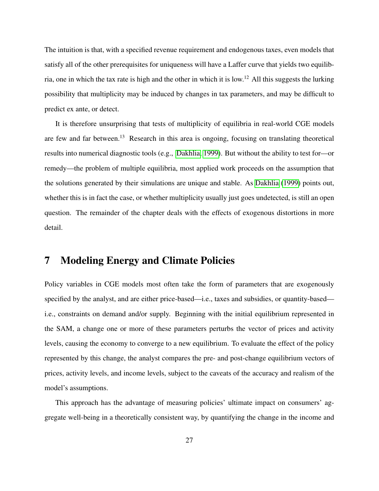The intuition is that, with a specified revenue requirement and endogenous taxes, even models that satisfy all of the other prerequisites for uniqueness will have a Laffer curve that yields two equilibria, one in which the tax rate is high and the other in which it is low.<sup>12</sup> All this suggests the lurking possibility that multiplicity may be induced by changes in tax parameters, and may be difficult to predict ex ante, or detect.

It is therefore unsurprising that tests of multiplicity of equilibria in real-world CGE models are few and far between.<sup>13</sup> Research in this area is ongoing, focusing on translating theoretical results into numerical diagnostic tools (e.g., [Dakhlia, 1999\)](#page-54-4). But without the ability to test for—or remedy—the problem of multiple equilibria, most applied work proceeds on the assumption that the solutions generated by their simulations are unique and stable. As [Dakhlia](#page-54-4) [\(1999\)](#page-54-4) points out, whether this is in fact the case, or whether multiplicity usually just goes undetected, is still an open question. The remainder of the chapter deals with the effects of exogenous distortions in more detail.

## <span id="page-26-0"></span>7 Modeling Energy and Climate Policies

Policy variables in CGE models most often take the form of parameters that are exogenously specified by the analyst, and are either price-based—i.e., taxes and subsidies, or quantity-based i.e., constraints on demand and/or supply. Beginning with the initial equilibrium represented in the SAM, a change one or more of these parameters perturbs the vector of prices and activity levels, causing the economy to converge to a new equilibrium. To evaluate the effect of the policy represented by this change, the analyst compares the pre- and post-change equilibrium vectors of prices, activity levels, and income levels, subject to the caveats of the accuracy and realism of the model's assumptions.

This approach has the advantage of measuring policies' ultimate impact on consumers' aggregate well-being in a theoretically consistent way, by quantifying the change in the income and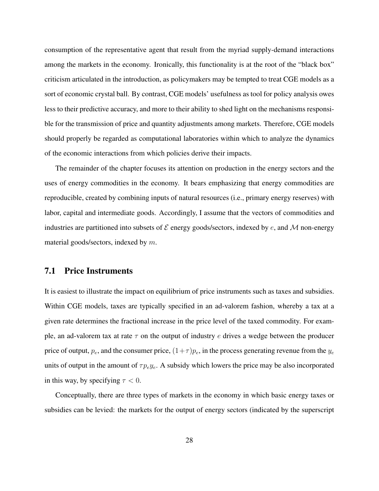consumption of the representative agent that result from the myriad supply-demand interactions among the markets in the economy. Ironically, this functionality is at the root of the "black box" criticism articulated in the introduction, as policymakers may be tempted to treat CGE models as a sort of economic crystal ball. By contrast, CGE models' usefulness as tool for policy analysis owes less to their predictive accuracy, and more to their ability to shed light on the mechanisms responsible for the transmission of price and quantity adjustments among markets. Therefore, CGE models should properly be regarded as computational laboratories within which to analyze the dynamics of the economic interactions from which policies derive their impacts.

The remainder of the chapter focuses its attention on production in the energy sectors and the uses of energy commodities in the economy. It bears emphasizing that energy commodities are reproducible, created by combining inputs of natural resources (i.e., primary energy reserves) with labor, capital and intermediate goods. Accordingly, I assume that the vectors of commodities and industries are partitioned into subsets of  $\mathcal E$  energy goods/sectors, indexed by e, and M non-energy material goods/sectors, indexed by m.

#### 7.1 Price Instruments

It is easiest to illustrate the impact on equilibrium of price instruments such as taxes and subsidies. Within CGE models, taxes are typically specified in an ad-valorem fashion, whereby a tax at a given rate determines the fractional increase in the price level of the taxed commodity. For example, an ad-valorem tax at rate  $\tau$  on the output of industry e drives a wedge between the producer price of output,  $p_e$ , and the consumer price,  $(1+\tau)p_e$ , in the process generating revenue from the  $y_e$ units of output in the amount of  $\tau p_e y_e$ . A subsidy which lowers the price may be also incorporated in this way, by specifying  $\tau < 0$ .

Conceptually, there are three types of markets in the economy in which basic energy taxes or subsidies can be levied: the markets for the output of energy sectors (indicated by the superscript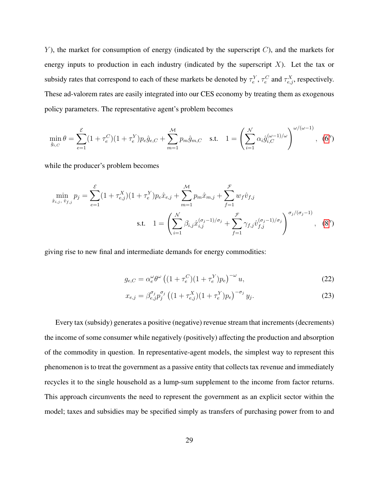Y), the market for consumption of energy (indicated by the superscript  $C$ ), and the markets for energy inputs to production in each industry (indicated by the superscript  $X$ ). Let the tax or subsidy rates that correspond to each of these markets be denoted by  $\tau_e^Y$ ,  $\tau_e^C$  and  $\tau_{e,j}^X$ , respectively. These ad-valorem rates are easily integrated into our CES economy by treating them as exogenous policy parameters. The representative agent's problem becomes

<span id="page-28-0"></span>
$$
\min_{\hat{g}_{i,C}} \theta = \sum_{e=1}^{\mathcal{E}} (1 + \tau_e^C)(1 + \tau_e^Y) p_e \hat{g}_{e,C} + \sum_{m=1}^{\mathcal{M}} p_m \hat{g}_{m,C} \quad \text{s.t.} \quad 1 = \left(\sum_{i=1}^{\mathcal{N}} \alpha_i \hat{g}_{i,C}^{(\omega-1)/\omega}\right)^{\omega/(\omega-1)}, \tag{6''}
$$

while the producer's problem becomes

$$
\min_{\hat{x}_{i,j}, \hat{v}_{f,j}} p_j = \sum_{e=1}^{\mathcal{E}} (1 + \tau_{e,j}^X)(1 + \tau_e^Y) p_e \hat{x}_{e,j} + \sum_{m=1}^{\mathcal{M}} p_m \hat{x}_{m,j} + \sum_{f=1}^{\mathcal{F}} w_f \hat{v}_{f,j}
$$
\n
$$
\text{s.t.} \quad 1 = \left( \sum_{i=1}^{\mathcal{N}} \beta_{i,j} \hat{x}_{i,j}^{(\sigma_j - 1)/\sigma_j} + \sum_{f=1}^{\mathcal{F}} \gamma_{f,j} \hat{v}_{f,j}^{(\sigma_j - 1)/\sigma_j} \right)^{\sigma_j/(\sigma_j - 1)}, \quad (8'')
$$

giving rise to new final and intermediate demands for energy commodities:

$$
g_{e,C} = \alpha_e^{\omega} \theta^{\omega} \left( (1 + \tau_e^C)(1 + \tau_e^Y) p_e \right)^{-\omega} u,
$$
\n(22)

<span id="page-28-1"></span>
$$
x_{e,j} = \beta_{e,j}^{\sigma_j} p_j^{\sigma_j} \left( (1 + \tau_{e,j}^X)(1 + \tau_e^Y) p_e \right)^{-\sigma_j} y_j.
$$
 (23)

Every tax (subsidy) generates a positive (negative) revenue stream that increments (decrements) the income of some consumer while negatively (positively) affecting the production and absorption of the commodity in question. In representative-agent models, the simplest way to represent this phenomenon is to treat the government as a passive entity that collects tax revenue and immediately recycles it to the single household as a lump-sum supplement to the income from factor returns. This approach circumvents the need to represent the government as an explicit sector within the model; taxes and subsidies may be specified simply as transfers of purchasing power from to and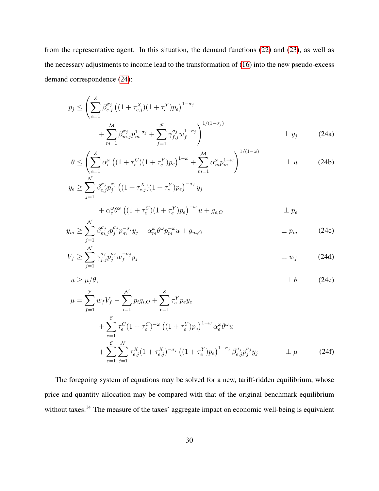from the representative agent. In this situation, the demand functions [\(22\)](#page-28-0) and [\(23\)](#page-28-1), as well as the necessary adjustments to income lead to the transformation of [\(16\)](#page-15-0) into the new pseudo-excess demand correspondence [\(24\)](#page-29-0):

<span id="page-29-0"></span>
$$
p_j \leq \left(\sum_{e=1}^{\mathcal{E}} \beta_{e,j}^{\sigma_j} \left( (1 + \tau_{e,j}^X)(1 + \tau_e^Y) p_e \right)^{1 - \sigma_j} + \sum_{m=1}^{\mathcal{M}} \beta_{m,j}^{\sigma_j} p_m^{1 - \sigma_j} + \sum_{f=1}^{\mathcal{F}} \gamma_{f,j}^{\sigma_j} w_f^{1 - \sigma_j} \right)^{1/(1 - \sigma_j)} \perp y_j \tag{24a}
$$

$$
\theta \le \left( \sum_{e=1}^{\mathcal{E}} \alpha_e^{\omega} \left( (1 + \tau_e^C)(1 + \tau_e^Y) p_e \right)^{1 - \omega} + \sum_{m=1}^{\mathcal{M}} \alpha_m^{\omega} p_m^{1 - \omega} \right)^{1/(1 - \omega)} \qquad \perp u \qquad (24b)
$$
  

$$
y_e \ge \sum_{j=1}^{\mathcal{N}} \beta_{e,j}^{\sigma_j} p_j^{\sigma_j} \left( (1 + \tau_{e,j}^X)(1 + \tau_e^Y) p_e \right)^{-\sigma_j} y_j
$$

<span id="page-29-3"></span><span id="page-29-2"></span>
$$
+ \alpha_e^{\omega} \theta^{\omega} \left( (1 + \tau_e^C)(1 + \tau_e^Y) p_e \right)^{-\omega} u + g_{e,O} \qquad \qquad \perp p_e
$$

$$
y_m \ge \sum_{j=1}^{\mathcal{N}} \beta_{m,j}^{\sigma_j} p_j^{\sigma_j} p_m^{-\sigma_j} y_j + \alpha_m^{\omega} \theta^{\omega} p_m^{-\omega} u + g_{m,O} \qquad \qquad \perp p_m \qquad (24c)
$$

$$
V_f \ge \sum_{j=1}^N \gamma_{f,j}^{\sigma_j} p_j^{\sigma_j} w_f^{-\sigma_j} y_j \qquad \qquad \perp w_f \qquad (24d)
$$

$$
u \ge \mu/\theta,\qquad \qquad \perp \theta\qquad (24e)
$$

<span id="page-29-1"></span>
$$
\mu = \sum_{f=1}^{\mathcal{F}} w_f V_f - \sum_{i=1}^{N} p_i g_{i,O} + \sum_{e=1}^{\mathcal{E}} \tau_e^Y p_e y_e \n+ \sum_{e=1}^{\mathcal{E}} \tau_e^C (1 + \tau_e^C)^{-\omega} ((1 + \tau_e^Y) p_e)^{1-\omega} \alpha_e^{\omega} \theta^{\omega} u \n+ \sum_{e=1}^{\mathcal{E}} \sum_{j=1}^{N} \tau_{e,j}^X (1 + \tau_{e,j}^X)^{-\sigma_j} ((1 + \tau_e^Y) p_e)^{1-\sigma_j} \beta_{e,j}^{\sigma_j} p_j^{\sigma_j} y_j \qquad \perp \mu \qquad (24f)
$$

The foregoing system of equations may be solved for a new, tariff-ridden equilibrium, whose price and quantity allocation may be compared with that of the original benchmark equilibrium without taxes.<sup>14</sup> The measure of the taxes' aggregate impact on economic well-being is equivalent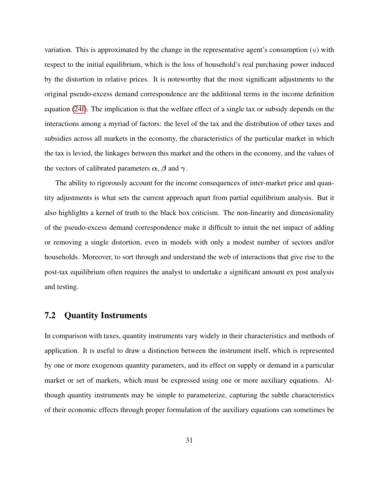variation. This is approximated by the change in the representative agent's consumption  $(u)$  with respect to the initial equilibrium, which is the loss of household's real purchasing power induced by the distortion in relative prices. It is noteworthy that the most significant adjustments to the original pseudo-excess demand correspondence are the additional terms in the income definition equation [\(24f\)](#page-29-1). The implication is that the welfare effect of a single tax or subsidy depends on the interactions among a myriad of factors: the level of the tax and the distribution of other taxes and subsidies across all markets in the economy, the characteristics of the particular market in which the tax is levied, the linkages between this market and the others in the economy, and the values of the vectors of calibrated parameters  $\alpha$ ,  $\beta$  and  $\gamma$ .

The ability to rigorously account for the income consequences of inter-market price and quantity adjustments is what sets the current approach apart from partial equilibrium analysis. But it also highlights a kernel of truth to the black box criticism. The non-linearity and dimensionality of the pseudo-excess demand correspondence make it difficult to intuit the net impact of adding or removing a single distortion, even in models with only a modest number of sectors and/or households. Moreover, to sort through and understand the web of interactions that give rise to the post-tax equilibrium often requires the analyst to undertake a significant amount ex post analysis and testing.

#### 7.2 Quantity Instruments

In comparison with taxes, quantity instruments vary widely in their characteristics and methods of application. It is useful to draw a distinction between the instrument itself, which is represented by one or more exogenous quantity parameters, and its effect on supply or demand in a particular market or set of markets, which must be expressed using one or more auxiliary equations. Although quantity instruments may be simple to parameterize, capturing the subtle characteristics of their economic effects through proper formulation of the auxiliary equations can sometimes be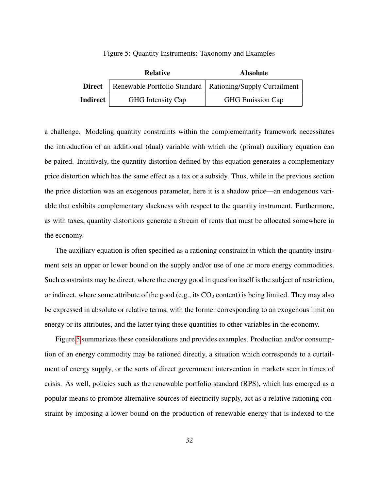|               | <b>Relative</b>                                             | <b>Absolute</b>         |  |  |  |
|---------------|-------------------------------------------------------------|-------------------------|--|--|--|
| <b>Direct</b> | Renewable Portfolio Standard   Rationing/Supply Curtailment |                         |  |  |  |
| Indirect      | GHG Intensity Cap                                           | <b>GHG</b> Emission Cap |  |  |  |

<span id="page-31-0"></span>Figure 5: Quantity Instruments: Taxonomy and Examples

a challenge. Modeling quantity constraints within the complementarity framework necessitates the introduction of an additional (dual) variable with which the (primal) auxiliary equation can be paired. Intuitively, the quantity distortion defined by this equation generates a complementary price distortion which has the same effect as a tax or a subsidy. Thus, while in the previous section the price distortion was an exogenous parameter, here it is a shadow price—an endogenous variable that exhibits complementary slackness with respect to the quantity instrument. Furthermore, as with taxes, quantity distortions generate a stream of rents that must be allocated somewhere in the economy.

The auxiliary equation is often specified as a rationing constraint in which the quantity instrument sets an upper or lower bound on the supply and/or use of one or more energy commodities. Such constraints may be direct, where the energy good in question itself is the subject of restriction, or indirect, where some attribute of the good (e.g., its  $CO_2$  content) is being limited. They may also be expressed in absolute or relative terms, with the former corresponding to an exogenous limit on energy or its attributes, and the latter tying these quantities to other variables in the economy.

Figure [5](#page-31-0) summarizes these considerations and provides examples. Production and/or consumption of an energy commodity may be rationed directly, a situation which corresponds to a curtailment of energy supply, or the sorts of direct government intervention in markets seen in times of crisis. As well, policies such as the renewable portfolio standard (RPS), which has emerged as a popular means to promote alternative sources of electricity supply, act as a relative rationing constraint by imposing a lower bound on the production of renewable energy that is indexed to the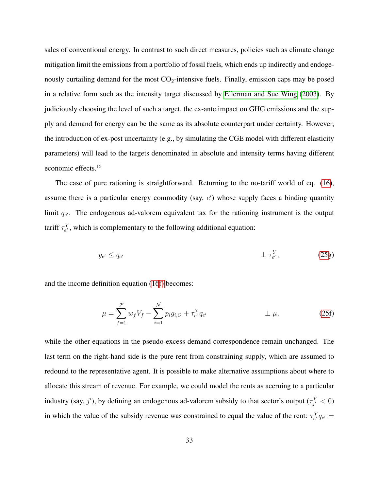sales of conventional energy. In contrast to such direct measures, policies such as climate change mitigation limit the emissions from a portfolio of fossil fuels, which ends up indirectly and endogenously curtailing demand for the most  $CO<sub>2</sub>$ -intensive fuels. Finally, emission caps may be posed in a relative form such as the intensity target discussed by [Ellerman and Sue Wing](#page-54-5) [\(2003\)](#page-54-5). By judiciously choosing the level of such a target, the ex-ante impact on GHG emissions and the supply and demand for energy can be the same as its absolute counterpart under certainty. However, the introduction of ex-post uncertainty (e.g., by simulating the CGE model with different elasticity parameters) will lead to the targets denominated in absolute and intensity terms having different economic effects.<sup>15</sup>

The case of pure rationing is straightforward. Returning to the no-tariff world of eq. [\(16\)](#page-15-0), assume there is a particular energy commodity (say,  $e'$ ) whose supply faces a binding quantity limit  $q_{e'}$ . The endogenous ad-valorem equivalent tax for the rationing instrument is the output tariff  $\tau_{e'}^Y$ , which is complementary to the following additional equation:

<span id="page-32-0"></span>
$$
y_{e'} \le q_{e'} \qquad \qquad \perp \tau_{e'}^Y,\tag{25g}
$$

and the income definition equation [\(16f\)](#page-16-1) becomes:

$$
\mu = \sum_{f=1}^{\mathcal{F}} w_f V_f - \sum_{i=1}^{N} p_i g_{i,O} + \tau_{e'}^Y q_{e'} \qquad \qquad \perp \mu,
$$
 (25f)

while the other equations in the pseudo-excess demand correspondence remain unchanged. The last term on the right-hand side is the pure rent from constraining supply, which are assumed to redound to the representative agent. It is possible to make alternative assumptions about where to allocate this stream of revenue. For example, we could model the rents as accruing to a particular industry (say, j'), by defining an endogenous ad-valorem subsidy to that sector's output ( $\tau_{j'}^Y < 0$ ) in which the value of the subsidy revenue was constrained to equal the value of the rent:  $\tau_{e'}^Y q_{e'} =$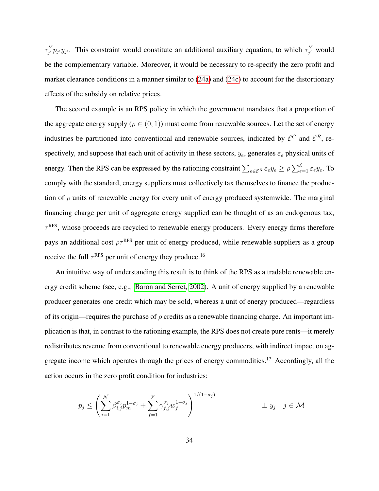$\tau_{j'}^Y p_{j'} y_{j'}$ . This constraint would constitute an additional auxiliary equation, to which  $\tau_{j'}^Y$  would be the complementary variable. Moreover, it would be necessary to re-specify the zero profit and market clearance conditions in a manner similar to [\(24a\)](#page-29-2) and [\(24c\)](#page-29-3) to account for the distortionary effects of the subsidy on relative prices.

The second example is an RPS policy in which the government mandates that a proportion of the aggregate energy supply ( $\rho \in (0, 1)$ ) must come from renewable sources. Let the set of energy industries be partitioned into conventional and renewable sources, indicated by  $\mathcal{E}^C$  and  $\mathcal{E}^R$ , respectively, and suppose that each unit of activity in these sectors,  $y_e$ , generates  $\varepsilon_e$  physical units of energy. Then the RPS can be expressed by the rationing constraint  $\sum_{e \in \mathcal{E}^R} \varepsilon_e y_e \ge \rho \sum_{e=1}^{\mathcal{E}} \varepsilon_e y_e$ . To comply with the standard, energy suppliers must collectively tax themselves to finance the production of  $\rho$  units of renewable energy for every unit of energy produced systemwide. The marginal financing charge per unit of aggregate energy supplied can be thought of as an endogenous tax,  $\tau^{RPS}$ , whose proceeds are recycled to renewable energy producers. Every energy firms therefore pays an additional cost  $\rho\tau^{RPS}$  per unit of energy produced, while renewable suppliers as a group receive the full  $\tau^{RPS}$  per unit of energy they produce.<sup>16</sup>

An intuitive way of understanding this result is to think of the RPS as a tradable renewable energy credit scheme (see, e.g., [Baron and Serret, 2002\)](#page-53-4). A unit of energy supplied by a renewable producer generates one credit which may be sold, whereas a unit of energy produced—regardless of its origin—requires the purchase of  $\rho$  credits as a renewable financing charge. An important implication is that, in contrast to the rationing example, the RPS does not create pure rents—it merely redistributes revenue from conventional to renewable energy producers, with indirect impact on aggregate income which operates through the prices of energy commodities.<sup>17</sup> Accordingly, all the action occurs in the zero profit condition for industries:

<span id="page-33-0"></span>
$$
p_j \leq \left(\sum_{i=1}^{\mathcal{N}} \beta_{i,j}^{\sigma_j} p_m^{1-\sigma_j} + \sum_{f=1}^{\mathcal{F}} \gamma_{f,j}^{\sigma_j} w_f^{1-\sigma_j}\right)^{1/(1-\sigma_j)} \perp y_j \quad j \in \mathcal{M}
$$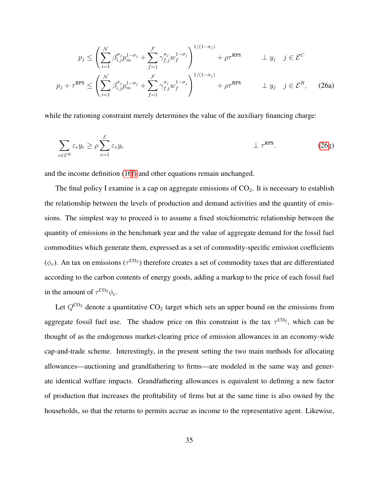$$
p_j \leq \left(\sum_{i=1}^N \beta_{i,j}^{\sigma_j} p_m^{1-\sigma_j} + \sum_{f=1}^{\mathcal{F}} \gamma_{f,j}^{\sigma_j} w_f^{1-\sigma_j}\right)^{1/(1-\sigma_j)} + \rho \tau^{\text{RPS}} \qquad \perp y_j \quad j \in \mathcal{E}^C
$$

$$
p_j + \tau^{\text{RPS}} \leq \left(\sum_{i=1}^N \beta_{i,j}^{\sigma_j} p_m^{1-\sigma_j} + \sum_{f=1}^{\mathcal{F}} \gamma_{f,j}^{\sigma_j} w_f^{1-\sigma_j}\right)^{1/(1-\sigma_j)} + \rho \tau^{\text{RPS}} \qquad \perp y_j \quad j \in \mathcal{E}^R, \tag{26a}
$$

while the rationing constraint merely determines the value of the auxiliary financing charge:

$$
\sum_{e \in \mathcal{E}^R} \varepsilon_e y_e \ge \rho \sum_{e=1}^{\mathcal{E}} \varepsilon_e y_e \qquad \qquad \perp \tau^{\text{RPS}}.
$$
 (26g)

and the income definition [\(16f\)](#page-16-1) and other equations remain unchanged.

The final policy I examine is a cap on aggregate emissions of  $CO<sub>2</sub>$ . It is necessary to establish the relationship between the levels of production and demand activities and the quantity of emissions. The simplest way to proceed is to assume a fixed stoichiometric relationship between the quantity of emissions in the benchmark year and the value of aggregate demand for the fossil fuel commodities which generate them, expressed as a set of commodity-specific emission coefficients  $(\phi_e)$ . An tax on emissions ( $\tau^{CO_2}$ ) therefore creates a set of commodity taxes that are differentiated according to the carbon contents of energy goods, adding a markup to the price of each fossil fuel in the amount of  $\tau^{\text{CO}_2}\phi_e$ .

Let  $Q^{CO_2}$  denote a quantitative  $CO_2$  target which sets an upper bound on the emissions from aggregate fossil fuel use. The shadow price on this constraint is the tax  $\tau^{CO_2}$ , which can be thought of as the endogenous market-clearing price of emission allowances in an economy-wide cap-and-trade scheme. Interestingly, in the present setting the two main methods for allocating allowances—auctioning and grandfathering to firms—are modeled in the same way and generate identical welfare impacts. Grandfathering allowances is equivalent to defining a new factor of production that increases the profitability of firms but at the same time is also owned by the households, so that the returns to permits accrue as income to the representative agent. Likewise,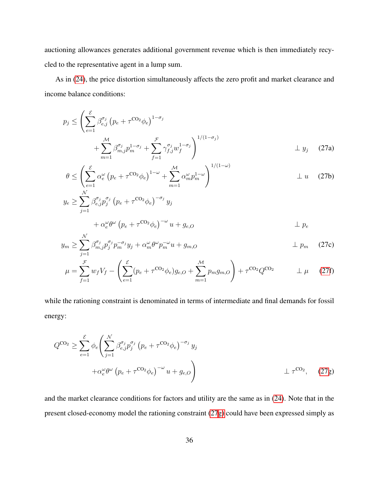auctioning allowances generates additional government revenue which is then immediately recycled to the representative agent in a lump sum.

As in [\(24\)](#page-29-0), the price distortion simultaneously affects the zero profit and market clearance and income balance conditions:

<span id="page-35-0"></span>
$$
p_j \leq \left(\sum_{e=1}^{\mathcal{E}} \beta_{e,j}^{\sigma_j} \left(p_e + \tau^{\text{CO}_2} \phi_e\right)^{1-\sigma_j} + \sum_{m=1}^{\mathcal{M}} \beta_{m,j}^{\sigma_j} p_m^{1-\sigma_j} + \sum_{f=1}^{\mathcal{F}} \gamma_{f,j}^{\sigma_j} w_f^{1-\sigma_j}\right)^{1/(1-\sigma_j)} \perp y_j \quad (27a)
$$

$$
\theta \le \left(\sum_{e=1}^{\mathcal{E}} \alpha_e^{\omega} \left(p_e + \tau^{\mathbf{CO}_2} \phi_e\right)^{1-\omega} + \sum_{m=1}^{\mathcal{M}} \alpha_m^{\omega} p_m^{1-\omega}\right)^{1/(1-\omega)} \perp u \quad (27b)
$$
  

$$
y_e \ge \sum_{e=1}^{\mathcal{N}} \beta_{e,j}^{\sigma_j} p_j^{\sigma_j} \left(p_e + \tau^{\mathbf{CO}_2} \phi_e\right)^{-\sigma_j} y_j
$$

$$
y_e \ge \sum_{j=1} \beta_{e,j}^{\sigma_j} p_j^{\sigma_j} (p_e + \tau^{CO_2} \phi_e)^{-\sigma_j} y_j
$$

<span id="page-35-2"></span>
$$
+ \alpha_e^{\omega} \theta^{\omega} \left( p_e + \tau^{\mathbf{CO}_2} \phi_e \right)^{-\omega} u + g_{e,O} \qquad \qquad \perp p_e
$$

$$
y_m \ge \sum_{j=1}^{\mathcal{N}} \beta_{m,j}^{\sigma_j} p_j^{\sigma_j} p_m^{-\sigma_j} y_j + \alpha_m^{\omega} \theta^{\omega} p_m^{-\omega} u + g_{m,O} \qquad \qquad \perp p_m \qquad (27c)
$$

$$
\mu = \sum_{f=1}^{\mathcal{F}} w_f V_f - \left( \sum_{e=1}^{\mathcal{E}} (p_e + \tau^{CO_2} \phi_e) g_{e,O} + \sum_{m=1}^{\mathcal{M}} p_m g_{m,O} \right) + \tau^{CO_2} Q^{CO_2} \qquad \perp \mu \quad (27f)
$$

while the rationing constraint is denominated in terms of intermediate and final demands for fossil energy:

<span id="page-35-1"></span>
$$
Q^{\mathbf{CO}_2} \ge \sum_{e=1}^{\mathcal{E}} \phi_e \left( \sum_{j=1}^{\mathcal{N}} \beta_{e,j}^{\sigma_j} p_j^{\sigma_j} \left( p_e + \tau^{\mathbf{CO}_2} \phi_e \right)^{-\sigma_j} y_j + \alpha_e^{\omega} \theta^{\omega} \left( p_e + \tau^{\mathbf{CO}_2} \phi_e \right)^{-\omega} u + g_{e,O} \right) \qquad \qquad \perp \tau^{\mathbf{CO}_2}, \tag{27g}
$$

and the market clearance conditions for factors and utility are the same as in [\(24\)](#page-29-0). Note that in the present closed-economy model the rationing constraint [\(27g\)](#page-35-1) could have been expressed simply as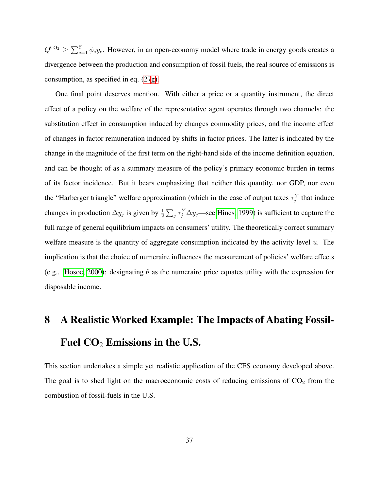$Q^{CO_2} \ge \sum_{e=1}^{\mathcal{E}} \phi_e y_e$ . However, in an open-economy model where trade in energy goods creates a divergence between the production and consumption of fossil fuels, the real source of emissions is consumption, as specified in eq. [\(27g\).](#page-35-1)

One final point deserves mention. With either a price or a quantity instrument, the direct effect of a policy on the welfare of the representative agent operates through two channels: the substitution effect in consumption induced by changes commodity prices, and the income effect of changes in factor remuneration induced by shifts in factor prices. The latter is indicated by the change in the magnitude of the first term on the right-hand side of the income definition equation, and can be thought of as a summary measure of the policy's primary economic burden in terms of its factor incidence. But it bears emphasizing that neither this quantity, nor GDP, nor even the "Harberger triangle" welfare approximation (which in the case of output taxes  $\tau_j^Y$  that induce changes in production  $\Delta y_j$  is given by  $\frac{1}{2} \sum_j \tau_j^Y \Delta y_j$ —see [Hines, 1999\)](#page-56-4) is sufficient to capture the full range of general equilibrium impacts on consumers' utility. The theoretically correct summary welfare measure is the quantity of aggregate consumption indicated by the activity level  $u$ . The implication is that the choice of numeraire influences the measurement of policies' welfare effects (e.g., [Hosoe, 2000\)](#page-56-5): designating  $\theta$  as the numeraire price equates utility with the expression for disposable income.

## <span id="page-36-0"></span>8 A Realistic Worked Example: The Impacts of Abating Fossil-Fuel  $CO<sub>2</sub>$  Emissions in the U.S.

This section undertakes a simple yet realistic application of the CES economy developed above. The goal is to shed light on the macroeconomic costs of reducing emissions of  $CO<sub>2</sub>$  from the combustion of fossil-fuels in the U.S.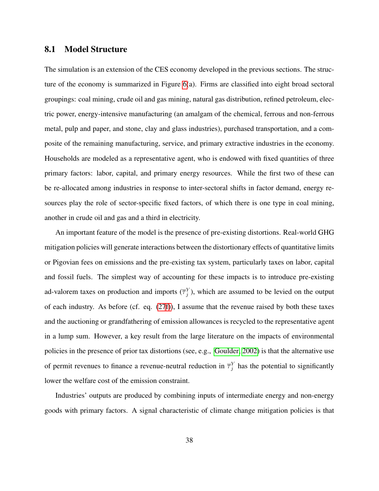#### 8.1 Model Structure

The simulation is an extension of the CES economy developed in the previous sections. The structure of the economy is summarized in Figure [6\(](#page-41-0)a). Firms are classified into eight broad sectoral groupings: coal mining, crude oil and gas mining, natural gas distribution, refined petroleum, electric power, energy-intensive manufacturing (an amalgam of the chemical, ferrous and non-ferrous metal, pulp and paper, and stone, clay and glass industries), purchased transportation, and a composite of the remaining manufacturing, service, and primary extractive industries in the economy. Households are modeled as a representative agent, who is endowed with fixed quantities of three primary factors: labor, capital, and primary energy resources. While the first two of these can be re-allocated among industries in response to inter-sectoral shifts in factor demand, energy resources play the role of sector-specific fixed factors, of which there is one type in coal mining, another in crude oil and gas and a third in electricity.

An important feature of the model is the presence of pre-existing distortions. Real-world GHG mitigation policies will generate interactions between the distortionary effects of quantitative limits or Pigovian fees on emissions and the pre-existing tax system, particularly taxes on labor, capital and fossil fuels. The simplest way of accounting for these impacts is to introduce pre-existing ad-valorem taxes on production and imports  $(\overline{\tau}_j^Y)$ , which are assumed to be levied on the output of each industry. As before (cf. eq. [\(27f\)\)](#page-35-2), I assume that the revenue raised by both these taxes and the auctioning or grandfathering of emission allowances is recycled to the representative agent in a lump sum. However, a key result from the large literature on the impacts of environmental policies in the presence of prior tax distortions (see, e.g., [Goulder, 2002\)](#page-55-2) is that the alternative use of permit revenues to finance a revenue-neutral reduction in  $\overline{\tau}_j^Y$  has the potential to significantly lower the welfare cost of the emission constraint.

Industries' outputs are produced by combining inputs of intermediate energy and non-energy goods with primary factors. A signal characteristic of climate change mitigation policies is that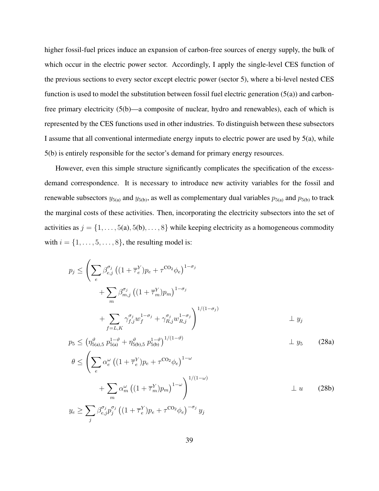higher fossil-fuel prices induce an expansion of carbon-free sources of energy supply, the bulk of which occur in the electric power sector. Accordingly, I apply the single-level CES function of the previous sections to every sector except electric power (sector 5), where a bi-level nested CES function is used to model the substitution between fossil fuel electric generation  $(5(a))$  and carbonfree primary electricity (5(b)—a composite of nuclear, hydro and renewables), each of which is represented by the CES functions used in other industries. To distinguish between these subsectors I assume that all conventional intermediate energy inputs to electric power are used by 5(a), while 5(b) is entirely responsible for the sector's demand for primary energy resources.

However, even this simple structure significantly complicates the specification of the excessdemand correspondence. It is necessary to introduce new activity variables for the fossil and renewable subsectors  $y_{5(a)}$  and  $y_{5(b)}$ , as well as complementary dual variables  $p_{5(a)}$  and  $p_{5(b)}$  to track the marginal costs of these activities. Then, incorporating the electricity subsectors into the set of activities as  $j = \{1, \ldots, 5(a), 5(b), \ldots, 8\}$  while keeping electricity as a homogeneous commodity with  $i = \{1, \ldots, 5, \ldots, 8\}$ , the resulting model is:

<span id="page-38-0"></span>
$$
p_j \leq \left(\sum_e \beta_{e,j}^{\sigma_j} \left((1 + \overline{\tau}_e^Y)p_e + \tau^{CO_2}\phi_e\right)^{1 - \sigma_j} + \sum_m \beta_{m,j}^{\sigma_j} \left((1 + \overline{\tau}_m^Y)p_m\right)^{1 - \sigma_j} + \sum_{f=L,K} \gamma_{f,j}^{\sigma_j} w_f^{1 - \sigma_j} + \gamma_{R,j}^{\sigma_j} w_{R,j}^{1 - \sigma_j}\right)^{1/(1 - \sigma_j)} \perp y_j
$$

$$
p_5 \le \left(\eta_{5(a),5}^{\vartheta} \ p_{5(a)}^{1-\vartheta} + \eta_{5(b),5}^{\vartheta} \ p_{5(b)}^{1-\vartheta}\right)^{1/(1-\vartheta)} \qquad \qquad \perp y_5 \qquad (28a)
$$

$$
\theta \le \left( \sum_{e} \alpha_e^{\omega} \left( (1 + \overline{\tau}_e^Y) p_e + \tau^{CO_2} \phi_e \right)^{1 - \omega} + \sum_{m} \alpha_m^{\omega} \left( (1 + \overline{\tau}_m^Y) p_m \right)^{1 - \omega} \right)^{1/(1 - \omega)} \perp u \qquad (28b)
$$
  

$$
y_e \ge \sum_{j} \beta_{e,j}^{\sigma_j} p_j^{\sigma_j} \left( (1 + \overline{\tau}_e^Y) p_e + \tau^{CO_2} \phi_e \right)^{-\sigma_j} y_j
$$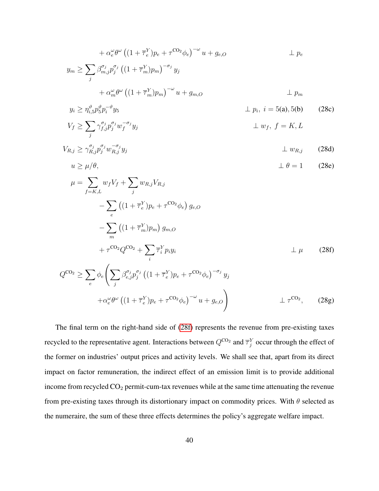+ 
$$
\alpha_e^{\omega} \theta^{\omega} \left( (1 + \overline{\tau}_e^Y) p_e + \tau^{CO_2} \phi_e \right)^{-\omega} u + g_{e,O}
$$
  $\perp p_e$   
\n
$$
y_m \ge \sum_j \beta_{m,j}^{\sigma_j} p_j^{\sigma_j} \left( (1 + \overline{\tau}_m^Y) p_m \right)^{-\sigma_j} y_j
$$
\n+  $\alpha_m^{\omega} \theta^{\omega} \left( (1 + \overline{\tau}_m^Y) p_m \right)^{-\omega} u + g_{m,O}$   $\perp p_m$ 

$$
y_i \ge \eta_{i,5}^{\vartheta} p_5^{\vartheta} p_i^{-\vartheta} y_5 \qquad \qquad \perp p_i, \ i = 5(a), 5(b) \qquad (28c)
$$

$$
V_f \ge \sum_j \gamma_{f,j}^{\sigma_j} p_j^{\sigma_j} w_f^{-\sigma_j} y_j \qquad \qquad \perp w_f, \ f = K, L
$$

$$
V_{R,j} \ge \gamma_{R,j}^{\sigma_j} p_j^{\sigma_j} w_{R,j}^{-\sigma_j} y_j \qquad \qquad \perp w_{R,j} \qquad (28d)
$$

<span id="page-39-0"></span>
$$
u \ge \mu/\theta,\qquad \qquad \perp \theta = 1 \qquad (28e)
$$

$$
\mu = \sum_{f=K,L} w_f V_f + \sum_j w_{R,j} V_{R,j}
$$
  
\n
$$
- \sum_e ((1 + \overline{\tau}_e^Y) p_e + \tau^{CO_2} \phi_e) g_{e,O}
$$
  
\n
$$
- \sum_m ((1 + \overline{\tau}_m^Y) p_m) g_{m,O}
$$
  
\n
$$
+ \tau^{CO_2} Q^{CO_2} + \sum_i \overline{\tau}_i^Y p_i y_i \qquad \perp \mu \qquad (28f)
$$
  
\n
$$
Q^{CO_2} \ge \sum_e \phi_e \left( \sum_j \beta_{e,j}^{\sigma_j} p_j^{\sigma_j} ((1 + \overline{\tau}_e^Y) p_e + \tau^{CO_2} \phi_e)^{-\sigma_j} y_j + \alpha_e^{\omega} \theta^{\omega} ((1 + \overline{\tau}_e^Y) p_e + \tau^{CO_2} \phi_e)^{-\omega} u + g_{e,O} \right)
$$
  
\n
$$
\mu \qquad (28g)
$$

The final term on the right-hand side of [\(28f\)](#page-39-0) represents the revenue from pre-existing taxes recycled to the representative agent. Interactions between  $Q^{CO_2}$  and  $\overline{\tau}_j^Y$  occur through the effect of the former on industries' output prices and activity levels. We shall see that, apart from its direct impact on factor remuneration, the indirect effect of an emission limit is to provide additional income from recycled CO<sub>2</sub> permit-cum-tax revenues while at the same time attenuating the revenue from pre-existing taxes through its distortionary impact on commodity prices. With  $\theta$  selected as the numeraire, the sum of these three effects determines the policy's aggregate welfare impact.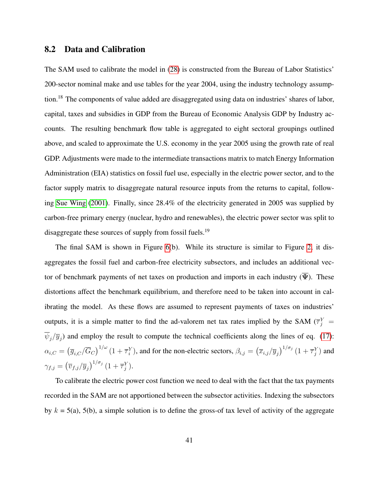#### 8.2 Data and Calibration

The SAM used to calibrate the model in [\(28\)](#page-38-0) is constructed from the Bureau of Labor Statistics' 200-sector nominal make and use tables for the year 2004, using the industry technology assumption.<sup>18</sup> The components of value added are disaggregated using data on industries' shares of labor, capital, taxes and subsidies in GDP from the Bureau of Economic Analysis GDP by Industry accounts. The resulting benchmark flow table is aggregated to eight sectoral groupings outlined above, and scaled to approximate the U.S. economy in the year 2005 using the growth rate of real GDP. Adjustments were made to the intermediate transactions matrix to match Energy Information Administration (EIA) statistics on fossil fuel use, especially in the electric power sector, and to the factor supply matrix to disaggregate natural resource inputs from the returns to capital, following [Sue Wing](#page-59-4) [\(2001\)](#page-59-4). Finally, since 28.4% of the electricity generated in 2005 was supplied by carbon-free primary energy (nuclear, hydro and renewables), the electric power sector was split to disaggregate these sources of supply from fossil fuels.<sup>19</sup>

The final SAM is shown in Figure [6\(](#page-41-0)b). While its structure is similar to Figure [2,](#page-8-1) it disaggregates the fossil fuel and carbon-free electricity subsectors, and includes an additional vector of benchmark payments of net taxes on production and imports in each industry  $(\overline{\Psi})$ . These distortions affect the benchmark equilibrium, and therefore need to be taken into account in calibrating the model. As these flows are assumed to represent payments of taxes on industries' outputs, it is a simple matter to find the ad-valorem net tax rates implied by the SAM ( $\overline{\tau}_j^Y$  =  $\psi_j/\overline{y}_j$ ) and employ the result to compute the technical coefficients along the lines of eq. [\(17\)](#page-17-1):  $\alpha_{i,C} = (\overline{g}_{i,C}/\overline{G}_C)^{1/\omega} (1 + \overline{\tau}_i^Y)$ , and for the non-electric sectors,  $\beta_{i,j} = (\overline{x}_{i,j}/\overline{y}_j)^{1/\sigma_j} (1 + \overline{\tau}_j^Y)$  and  $\gamma_{f,j} = \left(\overline{v}_{f,j}/\overline{y}_j\right)^{1/\sigma_j} (1 + \overline{\tau}_j^Y).$ 

To calibrate the electric power cost function we need to deal with the fact that the tax payments recorded in the SAM are not apportioned between the subsector activities. Indexing the subsectors by  $k = 5(a)$ , 5(b), a simple solution is to define the gross-of tax level of activity of the aggregate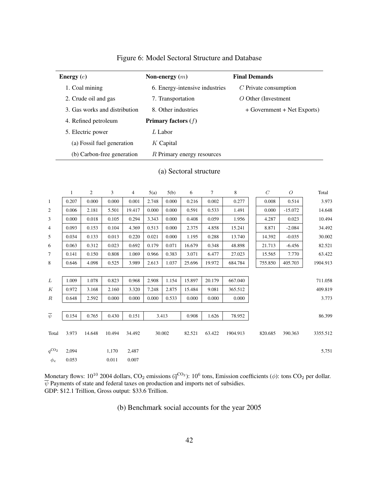| Energy $(e)$                  | Non-energy $(m)$               | <b>Final Demands</b>        |  |  |  |
|-------------------------------|--------------------------------|-----------------------------|--|--|--|
| 1. Coal mining                | 6. Energy-intensive industries | $C$ Private consumption     |  |  |  |
| 2. Crude oil and gas          | 7. Transportation              | $O$ Other (Investment)      |  |  |  |
| 3. Gas works and distribution | 8. Other industries            | + Government + Net Exports) |  |  |  |
| 4. Refined petroleum          | <b>Primary factors</b> $(f)$   |                             |  |  |  |
| 5. Electric power             | L Labor                        |                             |  |  |  |
| (a) Fossil fuel generation    | K Capital                      |                             |  |  |  |
| (b) Carbon-free generation    | R Primary energy resources     |                             |  |  |  |

#### <span id="page-41-0"></span>Figure 6: Model Sectoral Structure and Database

#### (a) Sectoral structure

|                   | $\mathbf{1}$ | 2      | 3      | 4      | 5(a)  | 5(b)   | 6      | $\tau$ | 8        | $\,C$   | O         | Total    |
|-------------------|--------------|--------|--------|--------|-------|--------|--------|--------|----------|---------|-----------|----------|
| 1                 | 0.207        | 0.000  | 0.000  | 0.001  | 2.748 | 0.000  | 0.216  | 0.002  | 0.277    | 0.008   | 0.514     | 3.973    |
| 2                 | 0.006        | 2.181  | 5.501  | 19.417 | 0.000 | 0.000  | 0.591  | 0.533  | 1.491    | 0.000   | $-15.072$ | 14.648   |
| 3                 | 0.000        | 0.018  | 0.105  | 0.294  | 3.343 | 0.000  | 0.408  | 0.059  | 1.956    | 4.287   | 0.023     | 10.494   |
| $\overline{4}$    | 0.093        | 0.153  | 0.104  | 4.369  | 0.513 | 0.000  | 2.375  | 4.858  | 15.241   | 8.871   | $-2.084$  | 34.492   |
| 5                 | 0.034        | 0.133  | 0.013  | 0.220  | 0.021 | 0.000  | 1.195  | 0.288  | 13.740   | 14.392  | $-0.035$  | 30.002   |
| 6                 | 0.063        | 0.312  | 0.023  | 0.692  | 0.179 | 0.071  | 16.679 | 0.348  | 48.898   | 21.713  | $-6.456$  | 82.521   |
| $\tau$            | 0.141        | 0.150  | 0.808  | 1.069  | 0.966 | 0.383  | 3.071  | 6.477  | 27.023   | 15.565  | 7.770     | 63.422   |
| 8                 | 0.646        | 4.098  | 0.525  | 3.989  | 2.613 | 1.037  | 25.696 | 19.972 | 684.784  | 755.850 | 405.703   | 1904.913 |
|                   |              |        |        |        |       |        |        |        |          |         |           |          |
| L                 | 1.009        | 1.078  | 0.823  | 0.968  | 2.908 | 1.154  | 15.897 | 20.179 | 667.040  |         |           | 711.058  |
| K                 | 0.972        | 3.168  | 2.160  | 3.320  | 7.248 | 2.875  | 15.484 | 9.081  | 365.512  |         |           | 409.819  |
| $_{R}$            | 0.648        | 2.592  | 0.000  | 0.000  | 0.000 | 0.533  | 0.000  | 0.000  | 0.000    |         |           | 3.773    |
|                   |              |        |        |        |       |        |        |        |          |         |           |          |
| $\overline{\psi}$ | 0.154        | 0.765  | 0.430  | 0.151  |       | 3.413  |        | 1.626  | 78.952   |         |           | 86.399   |
|                   |              |        |        |        |       |        |        |        |          |         |           |          |
| Total             | 3.973        | 14.648 | 10.494 | 34.492 |       | 30.002 | 82.521 | 63.422 | 1904.913 | 820.685 | 390.363   | 3355.512 |
|                   |              |        |        |        |       |        |        |        |          |         |           |          |
| $q^{\rm CO_2}$    | 2,094        |        | 1,170  | 2,487  |       |        |        |        |          |         |           | 5,751    |
| $\phi_e$          | 0.053        |        | 0.011  | 0.007  |       |        |        |        |          |         |           |          |

Monetary flows:  $10^{10}$  2004 dollars, CO<sub>2</sub> emissions ( $\bar{q}^{\text{CO}_2}$ ):  $10^6$  tons, Emission coefficients ( $\phi$ ): tons CO<sub>2</sub> per dollar.  $\psi$  Payments of state and federal taxes on production and imports net of subsidies. GDP: \$12.1 Trillion, Gross output: \$33.6 Trillion.

(b) Benchmark social accounts for the year 2005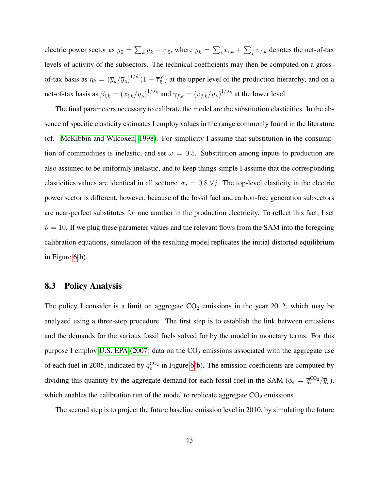electric power sector as  $\overline{y}_5 = \sum_k \overline{y}_k + \overline{\psi}_5$ , where  $\overline{y}_k = \sum_i \overline{x}_{i,k} + \sum_f \overline{v}_{f,k}$  denotes the net-of-tax levels of activity of the subsectors. The technical coefficients may then be computed on a grossof-tax basis as  $\eta_k = (\overline{y}_k/\overline{y}_5)^{1/\vartheta} (1+\overline{\tau}_5^Y)$  at the upper level of the production hierarchy, and on a net-of-tax basis as  $\beta_{i,k} = (\overline{x}_{i,k}/\overline{y}_k)^{1/\sigma_k}$  and  $\gamma_{f,k} = (\overline{v}_{f,k}/\overline{y}_k)^{1/\sigma_k}$  at the lower level.

The final parameters necessary to calibrate the model are the substitution elasticities. In the absence of specific elasticity estimates I employ values in the range commonly found in the literature (cf. [McKibbin and Wilcoxen, 1998\)](#page-58-3). For simplicity I assume that substitution in the consumption of commodities is inelastic, and set  $\omega = 0.5$ . Substitution among inputs to production are also assumed to be uniformly inelastic, and to keep things simple I assume that the corresponding elasticities values are identical in all sectors:  $\sigma_j = 0.8 \forall j$ . The top-level elasticity in the electric power sector is different, however, because of the fossil fuel and carbon-free generation subsectors are near-perfect substitutes for one another in the production electricity. To reflect this fact, I set  $\vartheta = 10$ . If we plug these parameter values and the relevant flows from the SAM into the foregoing calibration equations, simulation of the resulting model replicates the initial distorted equilibrium in Figure [6\(](#page-41-0)b).

#### 8.3 Policy Analysis

The policy I consider is a limit on aggregate  $CO<sub>2</sub>$  emissions in the year 2012, which may be analyzed using a three-step procedure. The first step is to establish the link between emissions and the demands for the various fossil fuels solved for by the model in monetary terms. For this purpose I employ [U.S. EPA](#page-60-2) [\(2007\)](#page-60-2) data on the  $CO<sub>2</sub>$  emissions associated with the aggregate use of each fuel in 2005, indicated by  $\overline{q}_e^{\text{CO}_2}$  in Figure [6\(](#page-41-0)b). The emission coefficients are computed by dividing this quantity by the aggregate demand for each fossil fuel in the SAM ( $\phi_e = \overline{q}_e^{\text{CO}_2}/\overline{y}_e$ ), which enables the calibration run of the model to replicate aggregate  $CO<sub>2</sub>$  emissions.

The second step is to project the future baseline emission level in 2010, by simulating the future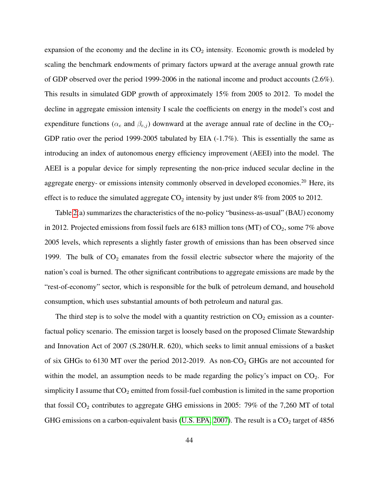expansion of the economy and the decline in its  $CO<sub>2</sub>$  intensity. Economic growth is modeled by scaling the benchmark endowments of primary factors upward at the average annual growth rate of GDP observed over the period 1999-2006 in the national income and product accounts (2.6%). This results in simulated GDP growth of approximately 15% from 2005 to 2012. To model the decline in aggregate emission intensity I scale the coefficients on energy in the model's cost and expenditure functions ( $\alpha_e$  and  $\beta_{e,j}$ ) downward at the average annual rate of decline in the CO<sub>2</sub>-GDP ratio over the period 1999-2005 tabulated by EIA (-1.7%). This is essentially the same as introducing an index of autonomous energy efficiency improvement (AEEI) into the model. The AEEI is a popular device for simply representing the non-price induced secular decline in the aggregate energy- or emissions intensity commonly observed in developed economies.<sup>20</sup> Here, its effect is to reduce the simulated aggregate  $CO<sub>2</sub>$  intensity by just under 8% from 2005 to 2012.

Table [2\(](#page-44-0)a) summarizes the characteristics of the no-policy "business-as-usual" (BAU) economy in 2012. Projected emissions from fossil fuels are 6183 million tons (MT) of  $CO_2$ , some 7% above 2005 levels, which represents a slightly faster growth of emissions than has been observed since 1999. The bulk of  $CO<sub>2</sub>$  emanates from the fossil electric subsector where the majority of the nation's coal is burned. The other significant contributions to aggregate emissions are made by the "rest-of-economy" sector, which is responsible for the bulk of petroleum demand, and household consumption, which uses substantial amounts of both petroleum and natural gas.

The third step is to solve the model with a quantity restriction on  $CO<sub>2</sub>$  emission as a counterfactual policy scenario. The emission target is loosely based on the proposed Climate Stewardship and Innovation Act of 2007 (S.280/H.R. 620), which seeks to limit annual emissions of a basket of six GHGs to 6130 MT over the period 2012-2019. As non- $CO<sub>2</sub>$  GHGs are not accounted for within the model, an assumption needs to be made regarding the policy's impact on  $CO<sub>2</sub>$ . For simplicity I assume that  $CO_2$  emitted from fossil-fuel combustion is limited in the same proportion that fossil  $CO_2$  contributes to aggregate GHG emissions in 2005: 79% of the 7,260 MT of total GHG emissions on a carbon-equivalent basis [\(U.S. EPA, 2007\)](#page-60-2). The result is a  $CO<sub>2</sub>$  target of 4856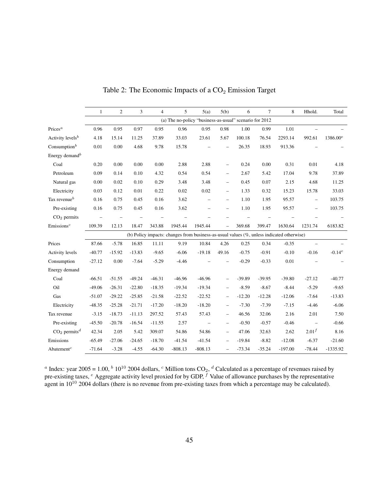|                                           | $\mathbf{1}$                                            | $\overline{c}$ | 3        | $\overline{4}$ | 5         | 5(a)                                                                                      | 5(b)                     | 6        | $\tau$   | 8         | Hhold.                   | Total         |
|-------------------------------------------|---------------------------------------------------------|----------------|----------|----------------|-----------|-------------------------------------------------------------------------------------------|--------------------------|----------|----------|-----------|--------------------------|---------------|
|                                           | (a) The no-policy "business-as-usual" scenario for 2012 |                |          |                |           |                                                                                           |                          |          |          |           |                          |               |
| $\text{Prices}^a$                         | 0.96                                                    | 0.95           | 0.97     | 0.95           | 0.96      | 0.95                                                                                      | 0.98                     | 1.00     | 0.99     | 1.01      |                          |               |
| Activity levels <sup><math>b</math></sup> | 4.18                                                    | 15.14          | 11.25    | 37.89          | 33.03     | 23.61                                                                                     | 5.67                     | 100.18   | 76.54    | 2293.14   | 992.61                   | $1386.00^{e}$ |
| Consumption $b$                           | 0.01                                                    | 0.00           | 4.68     | 9.78           | 15.78     |                                                                                           | $\overline{\phantom{0}}$ | 26.35    | 18.93    | 913.36    |                          |               |
| Energy demand <sup><math>b</math></sup>   |                                                         |                |          |                |           |                                                                                           |                          |          |          |           |                          |               |
| Coal                                      | 0.20                                                    | 0.00           | 0.00     | 0.00           | 2.88      | 2.88                                                                                      |                          | 0.24     | 0.00     | 0.31      | 0.01                     | 4.18          |
| Petroleum                                 | 0.09                                                    | 0.14           | 0.10     | 4.32           | 0.54      | 0.54                                                                                      | $\overline{\phantom{0}}$ | 2.67     | 5.42     | 17.04     | 9.78                     | 37.89         |
| Natural gas                               | 0.00                                                    | 0.02           | 0.10     | 0.29           | 3.48      | 3.48                                                                                      | $\overline{\phantom{0}}$ | 0.45     | 0.07     | 2.15      | 4.68                     | 11.25         |
| Electricity                               | 0.03                                                    | 0.12           | 0.01     | 0.22           | 0.02      | 0.02                                                                                      | $\overline{\phantom{0}}$ | 1.33     | 0.32     | 15.23     | 15.78                    | 33.03         |
| Tax revenue <sup>b</sup>                  | 0.16                                                    | 0.75           | 0.45     | 0.16           | 3.62      | $\overline{\phantom{0}}$                                                                  | $\overline{\phantom{0}}$ | 1.10     | 1.95     | 95.57     | $\overline{\phantom{0}}$ | 103.75        |
| Pre-existing                              | 0.16                                                    | 0.75           | 0.45     | 0.16           | 3.62      |                                                                                           |                          | 1.10     | 1.95     | 95.57     |                          | 103.75        |
| $CO2$ permits                             | $\qquad \qquad -$                                       |                |          |                |           |                                                                                           |                          |          |          |           |                          |               |
| Emissions <sup>c</sup>                    | 109.39                                                  | 12.13          | 18.47    | 343.88         | 1945.44   | 1945.44                                                                                   | $\overline{\phantom{0}}$ | 369.68   | 399.47   | 1630.64   | 1231.74                  | 6183.82       |
|                                           |                                                         |                |          |                |           | (b) Policy impacts: changes from business-as-usual values (%, unless indicated otherwise) |                          |          |          |           |                          |               |
| Prices                                    | 87.66                                                   | $-5.78$        | 16.85    | 11.11          | 9.19      | 10.84                                                                                     | 4.26                     | 0.25     | 0.34     | $-0.35$   | $\overline{\phantom{0}}$ |               |
| Activity levels                           | $-40.77$                                                | $-15.92$       | $-13.83$ | $-9.65$        | $-6.06$   | $-19.18$                                                                                  | 49.16                    | $-0.75$  | $-0.91$  | $-0.10$   | $-0.16$                  | $-0.14^e$     |
| Consumption                               | $-27.12$                                                | 0.00           | $-7.64$  | $-5.29$        | $-4.46$   |                                                                                           |                          | $-0.29$  | $-0.33$  | 0.01      | $\overline{\phantom{0}}$ |               |
| Energy demand                             |                                                         |                |          |                |           |                                                                                           |                          |          |          |           |                          |               |
| Coal                                      | $-66.51$                                                | $-51.55$       | $-49.24$ | $-46.31$       | $-46.96$  | $-46.96$                                                                                  |                          | $-39.89$ | $-39.95$ | $-39.80$  | $-27.12$                 | $-40.77$      |
| Oil                                       | $-49.06$                                                | $-26.31$       | $-22.80$ | $-18.35$       | $-19.34$  | $-19.34$                                                                                  |                          | $-8.59$  | $-8.67$  | $-8.44$   | $-5.29$                  | $-9.65$       |
| Gas                                       | $-51.07$                                                | $-29.22$       | $-25.85$ | $-21.58$       | $-22.52$  | $-22.52$                                                                                  | $\overline{\phantom{0}}$ | $-12.20$ | $-12.28$ | $-12.06$  | $-7.64$                  | $-13.83$      |
| Electricity                               | $-48.35$                                                | $-25.28$       | $-21.71$ | $-17.20$       | $-18.20$  | $-18.20$                                                                                  | $\overline{\phantom{0}}$ | $-7.30$  | $-7.39$  | $-7.15$   | $-4.46$                  | $-6.06$       |
| Tax revenue                               | $-3.15$                                                 | $-18.73$       | $-11.13$ | 297.52         | 57.43     | 57.43                                                                                     | $\overline{\phantom{0}}$ | 46.56    | 32.06    | 2.16      | 2.01                     | 7.50          |
| Pre-existing                              | $-45.50$                                                | $-20.78$       | $-16.54$ | $-11.55$       | 2.57      |                                                                                           | $\overline{\phantom{0}}$ | $-0.50$  | $-0.57$  | $-0.46$   | $\overline{\phantom{0}}$ | $-0.66$       |
| $CO2$ permits <sup>d</sup>                | 42.34                                                   | 2.05           | 5.42     | 309.07         | 54.86     | 54.86                                                                                     | $\overline{\phantom{0}}$ | 47.06    | 32.63    | 2.62      | $2.01^{f}$               | 8.16          |
| Emissions                                 | $-65.49$                                                | $-27.06$       | $-24.65$ | $-18.70$       | $-41.54$  | $-41.54$                                                                                  |                          | $-19.84$ | $-8.82$  | $-12.08$  | $-6.37$                  | $-21.60$      |
| Abatement <sup><math>c</math></sup>       | $-71.64$                                                | $-3.28$        | $-4.55$  | $-64.30$       | $-808.13$ | $-808.13$                                                                                 | $\overline{\phantom{0}}$ | $-73.34$ | $-35.24$ | $-197.00$ | $-78.44$                 | $-1335.92$    |

<span id="page-44-0"></span>Table 2: The Economic Impacts of a  $\mathrm{CO}_2$  Emission Target

<sup>*a*</sup> Index: year 2005 = 1.00, <sup>*b*</sup> 10<sup>10</sup> 2004 dollars, <sup>*c*</sup> Million tons CO<sub>2</sub>, <sup>*d* Calculated as a percentage of revenues raised by</sup> pre-existing taxes,  $e$  Aggregate activity level proxied for by GDP,  $f$  Value of allowance purchases by the representative agent in  $10^{10}$  2004 dollars (there is no revenue from pre-existing taxes from which a percentage may be calculated).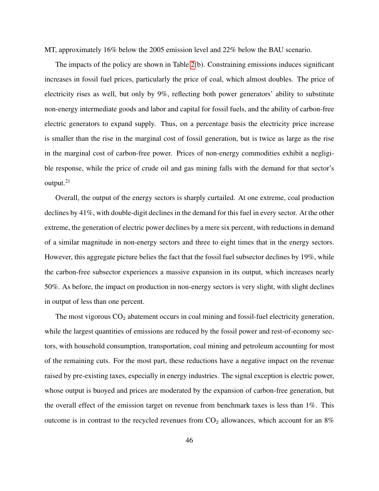MT, approximately 16% below the 2005 emission level and 22% below the BAU scenario.

The impacts of the policy are shown in Table [2\(](#page-44-0)b). Constraining emissions induces significant increases in fossil fuel prices, particularly the price of coal, which almost doubles. The price of electricity rises as well, but only by 9%, reflecting both power generators' ability to substitute non-energy intermediate goods and labor and capital for fossil fuels, and the ability of carbon-free electric generators to expand supply. Thus, on a percentage basis the electricity price increase is smaller than the rise in the marginal cost of fossil generation, but is twice as large as the rise in the marginal cost of carbon-free power. Prices of non-energy commodities exhibit a negligible response, while the price of crude oil and gas mining falls with the demand for that sector's output.<sup>21</sup>

Overall, the output of the energy sectors is sharply curtailed. At one extreme, coal production declines by 41%, with double-digit declines in the demand for this fuel in every sector. At the other extreme, the generation of electric power declines by a mere six percent, with reductions in demand of a similar magnitude in non-energy sectors and three to eight times that in the energy sectors. However, this aggregate picture belies the fact that the fossil fuel subsector declines by 19%, while the carbon-free subsector experiences a massive expansion in its output, which increases nearly 50%. As before, the impact on production in non-energy sectors is very slight, with slight declines in output of less than one percent.

The most vigorous  $CO<sub>2</sub>$  abatement occurs in coal mining and fossil-fuel electricity generation, while the largest quantities of emissions are reduced by the fossil power and rest-of-economy sectors, with household consumption, transportation, coal mining and petroleum accounting for most of the remaining cuts. For the most part, these reductions have a negative impact on the revenue raised by pre-existing taxes, especially in energy industries. The signal exception is electric power, whose output is buoyed and prices are moderated by the expansion of carbon-free generation, but the overall effect of the emission target on revenue from benchmark taxes is less than 1%. This outcome is in contrast to the recycled revenues from  $CO<sub>2</sub>$  allowances, which account for an  $8\%$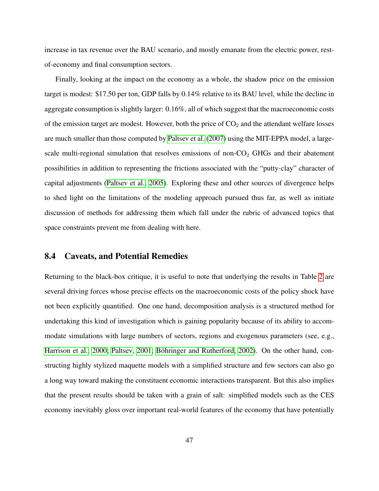increase in tax revenue over the BAU scenario, and mostly emanate from the electric power, restof-economy and final consumption sectors.

Finally, looking at the impact on the economy as a whole, the shadow price on the emission target is modest: \$17.50 per ton, GDP falls by 0.14% relative to its BAU level, while the decline in aggregate consumption is slightly larger: 0.16%, all of which suggest that the macroeconomic costs of the emission target are modest. However, both the price of  $CO<sub>2</sub>$  and the attendant welfare losses are much smaller than those computed by [Paltsev et al.](#page-58-4) [\(2007\)](#page-58-4) using the MIT-EPPA model, a largescale multi-regional simulation that resolves emissions of non- $CO<sub>2</sub>$  GHGs and their abatement possibilities in addition to representing the frictions associated with the "putty-clay" character of capital adjustments [\(Paltsev et al., 2005\)](#page-58-5). Exploring these and other sources of divergence helps to shed light on the limitations of the modeling approach pursued thus far, as well as initiate discussion of methods for addressing them which fall under the rubric of advanced topics that space constraints prevent me from dealing with here.

#### 8.4 Caveats, and Potential Remedies

Returning to the black-box critique, it is useful to note that underlying the results in Table [2](#page-44-0) are several driving forces whose precise effects on the macroeconomic costs of the policy shock have not been explicitly quantified. One one hand, decomposition analysis is a structured method for undertaking this kind of investigation which is gaining popularity because of its ability to accommodate simulations with large numbers of sectors, regions and exogenous parameters (see, e.g., [Harrison et al., 2000;](#page-56-6) [Paltsev, 2001;](#page-58-6) [Böhringer and Rutherford, 2002\)](#page-53-5). On the other hand, constructing highly stylized maquette models with a simplified structure and few sectors can also go a long way toward making the constituent economic interactions transparent. But this also implies that the present results should be taken with a grain of salt: simplified models such as the CES economy inevitably gloss over important real-world features of the economy that have potentially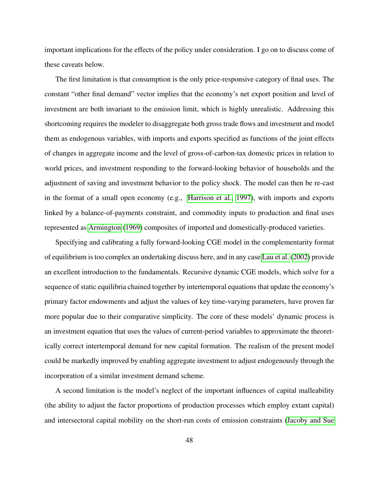important implications for the effects of the policy under consideration. I go on to discuss come of these caveats below.

The first limitation is that consumption is the only price-responsive category of final uses. The constant "other final demand" vector implies that the economy's net export position and level of investment are both invariant to the emission limit, which is highly unrealistic. Addressing this shortcoming requires the modeler to disaggregate both gross trade flows and investment and model them as endogenous variables, with imports and exports specified as functions of the joint effects of changes in aggregate income and the level of gross-of-carbon-tax domestic prices in relation to world prices, and investment responding to the forward-looking behavior of households and the adjustment of saving and investment behavior to the policy shock. The model can then be re-cast in the format of a small open economy (e.g., [Harrison et al., 1997\)](#page-55-3), with imports and exports linked by a balance-of-payments constraint, and commodity inputs to production and final uses represented as [Armington](#page-53-6) [\(1969\)](#page-53-6) composites of imported and domestically-produced varieties.

Specifying and calibrating a fully forward-looking CGE model in the complementarity format of equilibrium is too complex an undertaking discuss here, and in any case [Lau et al.](#page-57-4) [\(2002\)](#page-57-4) provide an excellent introduction to the fundamentals. Recursive dynamic CGE models, which solve for a sequence of static equilibria chained together by intertemporal equations that update the economy's primary factor endowments and adjust the values of key time-varying parameters, have proven far more popular due to their comparative simplicity. The core of these models' dynamic process is an investment equation that uses the values of current-period variables to approximate the theoretically correct intertemporal demand for new capital formation. The realism of the present model could be markedly improved by enabling aggregate investment to adjust endogenously through the incorporation of a similar investment demand scheme.

A second limitation is the model's neglect of the important influences of capital malleability (the ability to adjust the factor proportions of production processes which employ extant capital) and intersectoral capital mobility on the short-run costs of emission constraints [\(Jacoby and Sue](#page-56-7)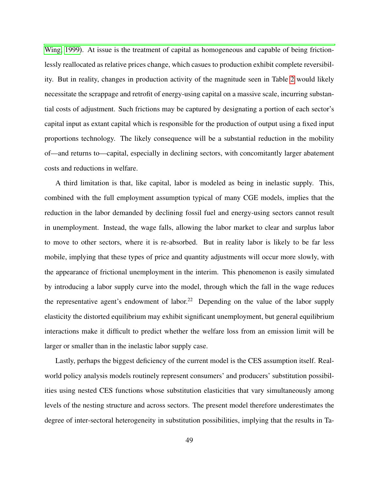[Wing, 1999\)](#page-56-7). At issue is the treatment of capital as homogeneous and capable of being frictionlessly reallocated as relative prices change, which casues to production exhibit complete reversibility. But in reality, changes in production activity of the magnitude seen in Table [2](#page-44-0) would likely necessitate the scrappage and retrofit of energy-using capital on a massive scale, incurring substantial costs of adjustment. Such frictions may be captured by designating a portion of each sector's capital input as extant capital which is responsible for the production of output using a fixed input proportions technology. The likely consequence will be a substantial reduction in the mobility of—and returns to—capital, especially in declining sectors, with concomitantly larger abatement costs and reductions in welfare.

A third limitation is that, like capital, labor is modeled as being in inelastic supply. This, combined with the full employment assumption typical of many CGE models, implies that the reduction in the labor demanded by declining fossil fuel and energy-using sectors cannot result in unemployment. Instead, the wage falls, allowing the labor market to clear and surplus labor to move to other sectors, where it is re-absorbed. But in reality labor is likely to be far less mobile, implying that these types of price and quantity adjustments will occur more slowly, with the appearance of frictional unemployment in the interim. This phenomenon is easily simulated by introducing a labor supply curve into the model, through which the fall in the wage reduces the representative agent's endowment of labor.<sup>22</sup> Depending on the value of the labor supply elasticity the distorted equilibrium may exhibit significant unemployment, but general equilibrium interactions make it difficult to predict whether the welfare loss from an emission limit will be larger or smaller than in the inelastic labor supply case.

Lastly, perhaps the biggest deficiency of the current model is the CES assumption itself. Realworld policy analysis models routinely represent consumers' and producers' substitution possibilities using nested CES functions whose substitution elasticities that vary simultaneously among levels of the nesting structure and across sectors. The present model therefore underestimates the degree of inter-sectoral heterogeneity in substitution possibilities, implying that the results in Ta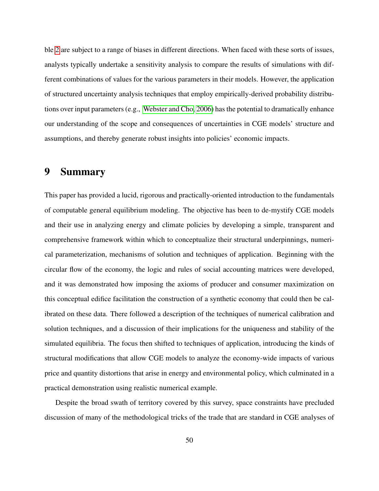ble [2](#page-44-0) are subject to a range of biases in different directions. When faced with these sorts of issues, analysts typically undertake a sensitivity analysis to compare the results of simulations with different combinations of values for the various parameters in their models. However, the application of structured uncertainty analysis techniques that employ empirically-derived probability distributions over input parameters (e.g., [Webster and Cho, 2006\)](#page-60-3) has the potential to dramatically enhance our understanding of the scope and consequences of uncertainties in CGE models' structure and assumptions, and thereby generate robust insights into policies' economic impacts.

## <span id="page-49-0"></span>9 Summary

This paper has provided a lucid, rigorous and practically-oriented introduction to the fundamentals of computable general equilibrium modeling. The objective has been to de-mystify CGE models and their use in analyzing energy and climate policies by developing a simple, transparent and comprehensive framework within which to conceptualize their structural underpinnings, numerical parameterization, mechanisms of solution and techniques of application. Beginning with the circular flow of the economy, the logic and rules of social accounting matrices were developed, and it was demonstrated how imposing the axioms of producer and consumer maximization on this conceptual edifice facilitation the construction of a synthetic economy that could then be calibrated on these data. There followed a description of the techniques of numerical calibration and solution techniques, and a discussion of their implications for the uniqueness and stability of the simulated equilibria. The focus then shifted to techniques of application, introducing the kinds of structural modifications that allow CGE models to analyze the economy-wide impacts of various price and quantity distortions that arise in energy and environmental policy, which culminated in a practical demonstration using realistic numerical example.

Despite the broad swath of territory covered by this survey, space constraints have precluded discussion of many of the methodological tricks of the trade that are standard in CGE analyses of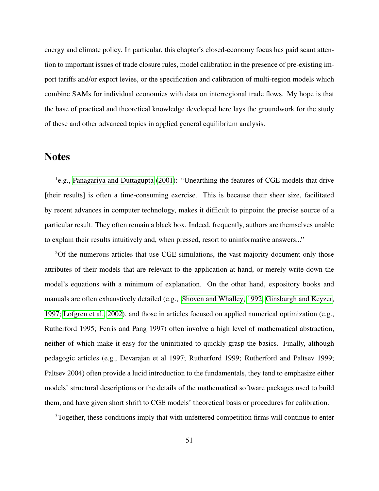energy and climate policy. In particular, this chapter's closed-economy focus has paid scant attention to important issues of trade closure rules, model calibration in the presence of pre-existing import tariffs and/or export levies, or the specification and calibration of multi-region models which combine SAMs for individual economies with data on interregional trade flows. My hope is that the base of practical and theoretical knowledge developed here lays the groundwork for the study of these and other advanced topics in applied general equilibrium analysis.

### **Notes**

<sup>1</sup>e.g., [Panagariya and Duttagupta](#page-59-5) [\(2001\)](#page-59-5): "Unearthing the features of CGE models that drive [their results] is often a time-consuming exercise. This is because their sheer size, facilitated by recent advances in computer technology, makes it difficult to pinpoint the precise source of a particular result. They often remain a black box. Indeed, frequently, authors are themselves unable to explain their results intuitively and, when pressed, resort to uninformative answers..."

<sup>2</sup>Of the numerous articles that use CGE simulations, the vast majority document only those attributes of their models that are relevant to the application at hand, or merely write down the model's equations with a minimum of explanation. On the other hand, expository books and manuals are often exhaustively detailed (e.g., [Shoven and Whalley, 1992;](#page-59-6) [Ginsburgh and Keyzer,](#page-55-4) [1997;](#page-55-4) [Lofgren et al., 2002\)](#page-57-5), and those in articles focused on applied numerical optimization (e.g., Rutherford 1995; Ferris and Pang 1997) often involve a high level of mathematical abstraction, neither of which make it easy for the uninitiated to quickly grasp the basics. Finally, although pedagogic articles (e.g., Devarajan et al 1997; Rutherford 1999; Rutherford and Paltsev 1999; Paltsev 2004) often provide a lucid introduction to the fundamentals, they tend to emphasize either models' structural descriptions or the details of the mathematical software packages used to build them, and have given short shrift to CGE models' theoretical basis or procedures for calibration.

<sup>3</sup>Together, these conditions imply that with unfettered competition firms will continue to enter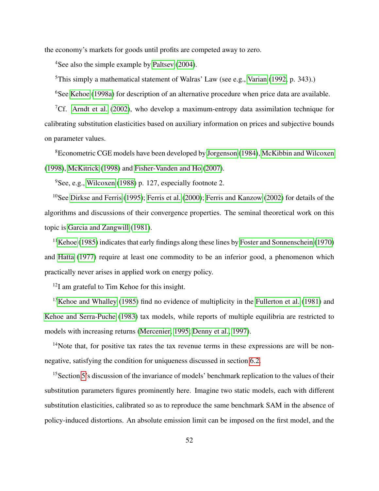the economy's markets for goods until profits are competed away to zero.

<sup>4</sup>See also the simple example by [Paltsev](#page-58-7) [\(2004\)](#page-58-7).

<sup>5</sup>This simply a mathematical statement of Walras' Law (see e.g., [Varian](#page-60-0)  $(1992, p. 343)$  $(1992, p. 343)$ .)

<sup>6</sup>See [Kehoe](#page-57-0) [\(1998a\)](#page-57-0) for description of an alternative procedure when price data are available.

<sup>7</sup>Cf. [Arndt et al.](#page-53-7) [\(2002\)](#page-53-7), who develop a maximum-entropy data assimilation technique for calibrating substitution elasticities based on auxiliary information on prices and subjective bounds on parameter values.

<sup>8</sup>Econometric CGE models have been developed by [Jorgenson](#page-56-1) [\(1984\)](#page-56-1), [McKibbin and Wilcoxen](#page-58-3) [\(1998\)](#page-58-3), [McKitrick](#page-58-2) [\(1998\)](#page-58-2) and [Fisher-Vanden and Ho](#page-55-5) [\(2007\)](#page-55-5).

<sup>9</sup>See, e.g., [Wilcoxen](#page-60-4) [\(1988\)](#page-60-4) p. 127, especially footnote 2.

<sup>10</sup>See [Dirkse and Ferris](#page-54-6) [\(1995\)](#page-54-6); [Ferris et al.](#page-55-6) [\(2000\)](#page-55-6); [Ferris and Kanzow](#page-54-7) [\(2002\)](#page-54-7) for details of the algorithms and discussions of their convergence properties. The seminal theoretical work on this topic is [Garcia and Zangwill](#page-55-7) [\(1981\)](#page-55-7).

 $11$ [Kehoe](#page-56-3) [\(1985\)](#page-56-3) indicates that early findings along these lines by [Foster and Sonnenschein](#page-55-8) [\(1970\)](#page-55-8) and [Hatta](#page-56-8) [\(1977\)](#page-56-8) require at least one commodity to be an inferior good, a phenomenon which practically never arises in applied work on energy policy.

 $12$ I am grateful to Tim Kehoe for this insight.

<sup>13</sup>[Kehoe and Whalley](#page-57-6) [\(1985\)](#page-57-6) find no evidence of multiplicity in the [Fullerton et al.](#page-55-9) [\(1981\)](#page-55-9) and [Kehoe and Serra-Puche](#page-57-7) [\(1983\)](#page-57-7) tax models, while reports of multiple equilibria are restricted to models with increasing returns [\(Mercenier, 1995;](#page-58-8) [Denny et al., 1997\)](#page-54-8).

 $14$ Note that, for positive tax rates the tax revenue terms in these expressions are will be nonnegative, satisfying the condition for uniqueness discussed in section [6.2.](#page-23-1)

<sup>15</sup>Section [5'](#page-17-0)s discussion of the invariance of models' benchmark replication to the values of their substitution parameters figures prominently here. Imagine two static models, each with different substitution elasticities, calibrated so as to reproduce the same benchmark SAM in the absence of policy-induced distortions. An absolute emission limit can be imposed on the first model, and the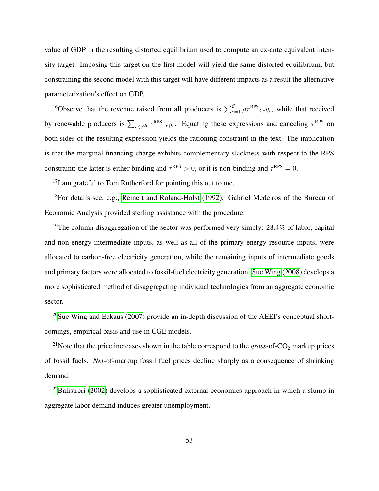value of GDP in the resulting distorted equilibrium used to compute an ex-ante equivalent intensity target. Imposing this target on the first model will yield the same distorted equilibrium, but constraining the second model with this target will have different impacts as a result the alternative parameterization's effect on GDP.

<sup>16</sup>Observe that the revenue raised from all producers is  $\sum_{e=1}^{\mathcal{E}} \rho \tau^{RPS} \varepsilon_e y_e$ , while that received by renewable producers is  $\sum_{e \in \mathcal{E}^R} \tau^{RPS} \varepsilon_e y_e$ . Equating these expressions and canceling  $\tau^{RPS}$  on both sides of the resulting expression yields the rationing constraint in the text. The implication is that the marginal financing charge exhibits complementary slackness with respect to the RPS constraint: the latter is either binding and  $\tau^{RPS} > 0$ , or it is non-binding and  $\tau^{RPS} = 0$ .

 $17$ I am grateful to Tom Rutherford for pointing this out to me.

<sup>18</sup>For details see, e.g., [Reinert and Roland-Holst](#page-59-7) [\(1992\)](#page-59-7). Gabriel Medeiros of the Bureau of Economic Analysis provided sterling assistance with the procedure.

<sup>19</sup>The column disaggregation of the sector was performed very simply: 28.4% of labor, capital and non-energy intermediate inputs, as well as all of the primary energy resource inputs, were allocated to carbon-free electricity generation, while the remaining inputs of intermediate goods and primary factors were allocated to fossil-fuel electricity generation. [Sue Wing](#page-59-8) [\(2008\)](#page-59-8) develops a more sophisticated method of disaggregating individual technologies from an aggregate economic sector.

<sup>20</sup>[Sue Wing and Eckaus](#page-60-5) [\(2007\)](#page-60-5) provide an in-depth discussion of the AEEI's conceptual shortcomings, empirical basis and use in CGE models.

<sup>21</sup>Note that the price increases shown in the table correspond to the *gross*-of- $CO<sub>2</sub>$  markup prices of fossil fuels. *Net*-of-markup fossil fuel prices decline sharply as a consequence of shrinking demand.

 $^{22}$ [Balistreri](#page-53-8) [\(2002\)](#page-53-8) develops a sophisticated external economies approach in which a slump in aggregate labor demand induces greater unemployment.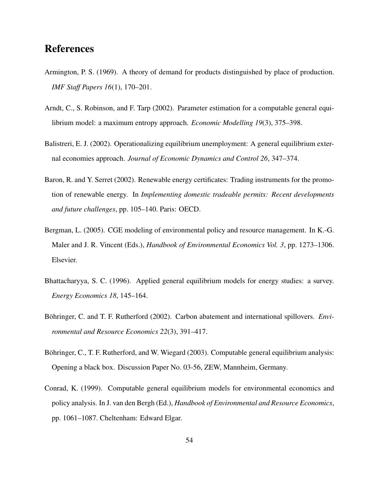## References

- <span id="page-53-6"></span>Armington, P. S. (1969). A theory of demand for products distinguished by place of production. *IMF Staff Papers 16*(1), 170–201.
- <span id="page-53-7"></span>Arndt, C., S. Robinson, and F. Tarp (2002). Parameter estimation for a computable general equilibrium model: a maximum entropy approach. *Economic Modelling 19*(3), 375–398.
- <span id="page-53-8"></span>Balistreri, E. J. (2002). Operationalizing equilibrium unemployment: A general equilibrium external economies approach. *Journal of Economic Dynamics and Control 26*, 347–374.
- <span id="page-53-4"></span>Baron, R. and Y. Serret (2002). Renewable energy certificates: Trading instruments for the promotion of renewable energy. In *Implementing domestic tradeable permits: Recent developments and future challenges*, pp. 105–140. Paris: OECD.
- <span id="page-53-2"></span>Bergman, L. (2005). CGE modeling of environmental policy and resource management. In K.-G. Maler and J. R. Vincent (Eds.), *Handbook of Environmental Economics Vol. 3*, pp. 1273–1306. Elsevier.
- <span id="page-53-0"></span>Bhattacharyya, S. C. (1996). Applied general equilibrium models for energy studies: a survey. *Energy Economics 18*, 145–164.
- <span id="page-53-5"></span>Böhringer, C. and T. F. Rutherford (2002). Carbon abatement and international spillovers. *Environmental and Resource Economics 22*(3), 391–417.
- <span id="page-53-3"></span>Böhringer, C., T. F. Rutherford, and W. Wiegard (2003). Computable general equilibrium analysis: Opening a black box. Discussion Paper No. 03-56, ZEW, Mannheim, Germany.
- <span id="page-53-1"></span>Conrad, K. (1999). Computable general equilibrium models for environmental economics and policy analysis. In J. van den Bergh (Ed.), *Handbook of Environmental and Resource Economics*, pp. 1061–1087. Cheltenham: Edward Elgar.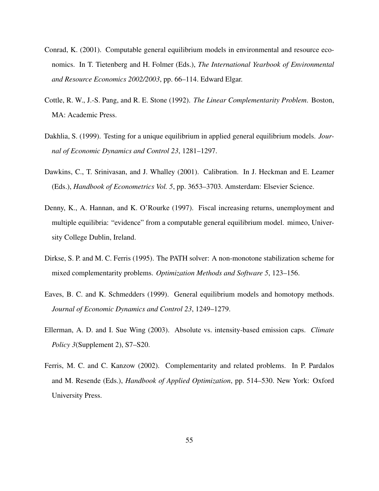- <span id="page-54-0"></span>Conrad, K. (2001). Computable general equilibrium models in environmental and resource economics. In T. Tietenberg and H. Folmer (Eds.), *The International Yearbook of Environmental and Resource Economics 2002/2003*, pp. 66–114. Edward Elgar.
- <span id="page-54-2"></span>Cottle, R. W., J.-S. Pang, and R. E. Stone (1992). *The Linear Complementarity Problem*. Boston, MA: Academic Press.
- <span id="page-54-4"></span>Dakhlia, S. (1999). Testing for a unique equilibrium in applied general equilibrium models. *Journal of Economic Dynamics and Control 23*, 1281–1297.
- <span id="page-54-1"></span>Dawkins, C., T. Srinivasan, and J. Whalley (2001). Calibration. In J. Heckman and E. Leamer (Eds.), *Handbook of Econometrics Vol. 5*, pp. 3653–3703. Amsterdam: Elsevier Science.
- <span id="page-54-8"></span>Denny, K., A. Hannan, and K. O'Rourke (1997). Fiscal increasing returns, unemployment and multiple equilibria: "evidence" from a computable general equilibrium model. mimeo, University College Dublin, Ireland.
- <span id="page-54-6"></span>Dirkse, S. P. and M. C. Ferris (1995). The PATH solver: A non-monotone stabilization scheme for mixed complementarity problems. *Optimization Methods and Software 5*, 123–156.
- <span id="page-54-3"></span>Eaves, B. C. and K. Schmedders (1999). General equilibrium models and homotopy methods. *Journal of Economic Dynamics and Control 23*, 1249–1279.
- <span id="page-54-5"></span>Ellerman, A. D. and I. Sue Wing (2003). Absolute vs. intensity-based emission caps. *Climate Policy 3*(Supplement 2), S7–S20.
- <span id="page-54-7"></span>Ferris, M. C. and C. Kanzow (2002). Complementarity and related problems. In P. Pardalos and M. Resende (Eds.), *Handbook of Applied Optimization*, pp. 514–530. New York: Oxford University Press.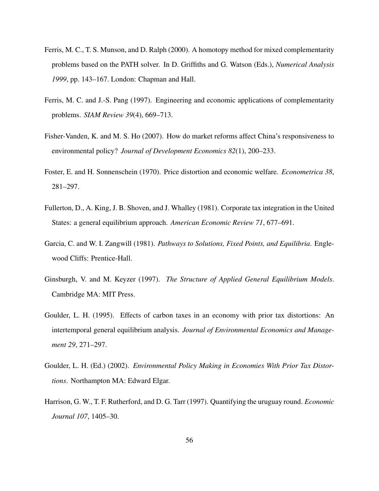- <span id="page-55-6"></span>Ferris, M. C., T. S. Munson, and D. Ralph (2000). A homotopy method for mixed complementarity problems based on the PATH solver. In D. Griffiths and G. Watson (Eds.), *Numerical Analysis 1999*, pp. 143–167. London: Chapman and Hall.
- <span id="page-55-1"></span>Ferris, M. C. and J.-S. Pang (1997). Engineering and economic applications of complementarity problems. *SIAM Review 39*(4), 669–713.
- <span id="page-55-5"></span>Fisher-Vanden, K. and M. S. Ho (2007). How do market reforms affect China's responsiveness to environmental policy? *Journal of Development Economics 82*(1), 200–233.
- <span id="page-55-8"></span>Foster, E. and H. Sonnenschein (1970). Price distortion and economic welfare. *Econometrica 38*, 281–297.
- <span id="page-55-9"></span>Fullerton, D., A. King, J. B. Shoven, and J. Whalley (1981). Corporate tax integration in the United States: a general equilibrium approach. *American Economic Review 71*, 677–691.
- <span id="page-55-7"></span>Garcia, C. and W. I. Zangwill (1981). *Pathways to Solutions, Fixed Points, and Equilibria*. Englewood Cliffs: Prentice-Hall.
- <span id="page-55-4"></span>Ginsburgh, V. and M. Keyzer (1997). *The Structure of Applied General Equilibrium Models*. Cambridge MA: MIT Press.
- <span id="page-55-0"></span>Goulder, L. H. (1995). Effects of carbon taxes in an economy with prior tax distortions: An intertemporal general equilibrium analysis. *Journal of Environmental Economics and Management 29*, 271–297.
- <span id="page-55-2"></span>Goulder, L. H. (Ed.) (2002). *Environmental Policy Making in Economies With Prior Tax Distortions*. Northampton MA: Edward Elgar.
- <span id="page-55-3"></span>Harrison, G. W., T. F. Rutherford, and D. G. Tarr (1997). Quantifying the uruguay round. *Economic Journal 107*, 1405–30.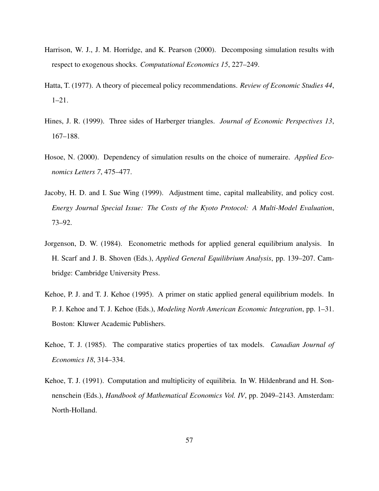- <span id="page-56-6"></span>Harrison, W. J., J. M. Horridge, and K. Pearson (2000). Decomposing simulation results with respect to exogenous shocks. *Computational Economics 15*, 227–249.
- <span id="page-56-8"></span>Hatta, T. (1977). A theory of piecemeal policy recommendations. *Review of Economic Studies 44*, 1–21.
- <span id="page-56-4"></span>Hines, J. R. (1999). Three sides of Harberger triangles. *Journal of Economic Perspectives 13*, 167–188.
- <span id="page-56-5"></span>Hosoe, N. (2000). Dependency of simulation results on the choice of numeraire. *Applied Economics Letters 7*, 475–477.
- <span id="page-56-7"></span>Jacoby, H. D. and I. Sue Wing (1999). Adjustment time, capital malleability, and policy cost. *Energy Journal Special Issue: The Costs of the Kyoto Protocol: A Multi-Model Evaluation*, 73–92.
- <span id="page-56-1"></span>Jorgenson, D. W. (1984). Econometric methods for applied general equilibrium analysis. In H. Scarf and J. B. Shoven (Eds.), *Applied General Equilibrium Analysis*, pp. 139–207. Cambridge: Cambridge University Press.
- <span id="page-56-0"></span>Kehoe, P. J. and T. J. Kehoe (1995). A primer on static applied general equilibrium models. In P. J. Kehoe and T. J. Kehoe (Eds.), *Modeling North American Economic Integration*, pp. 1–31. Boston: Kluwer Academic Publishers.
- <span id="page-56-3"></span>Kehoe, T. J. (1985). The comparative statics properties of tax models. *Canadian Journal of Economics 18*, 314–334.
- <span id="page-56-2"></span>Kehoe, T. J. (1991). Computation and multiplicity of equilibria. In W. Hildenbrand and H. Sonnenschein (Eds.), *Handbook of Mathematical Economics Vol. IV*, pp. 2049–2143. Amsterdam: North-Holland.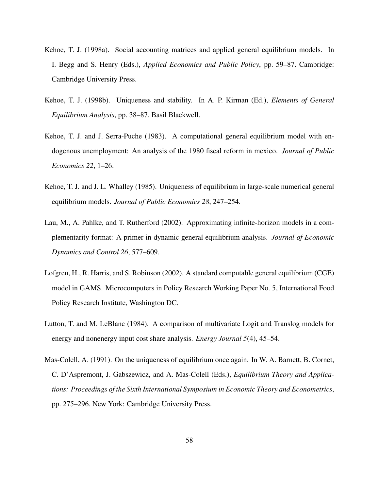- <span id="page-57-0"></span>Kehoe, T. J. (1998a). Social accounting matrices and applied general equilibrium models. In I. Begg and S. Henry (Eds.), *Applied Economics and Public Policy*, pp. 59–87. Cambridge: Cambridge University Press.
- <span id="page-57-3"></span>Kehoe, T. J. (1998b). Uniqueness and stability. In A. P. Kirman (Ed.), *Elements of General Equilibrium Analysis*, pp. 38–87. Basil Blackwell.
- <span id="page-57-7"></span>Kehoe, T. J. and J. Serra-Puche (1983). A computational general equilibrium model with endogenous unemployment: An analysis of the 1980 fiscal reform in mexico. *Journal of Public Economics 22*, 1–26.
- <span id="page-57-6"></span>Kehoe, T. J. and J. L. Whalley (1985). Uniqueness of equilibrium in large-scale numerical general equilibrium models. *Journal of Public Economics 28*, 247–254.
- <span id="page-57-4"></span>Lau, M., A. Pahlke, and T. Rutherford (2002). Approximating infinite-horizon models in a complementarity format: A primer in dynamic general equilibrium analysis. *Journal of Economic Dynamics and Control 26*, 577–609.
- <span id="page-57-5"></span>Lofgren, H., R. Harris, and S. Robinson (2002). A standard computable general equilibrium (CGE) model in GAMS. Microcomputers in Policy Research Working Paper No. 5, International Food Policy Research Institute, Washington DC.
- <span id="page-57-1"></span>Lutton, T. and M. LeBlanc (1984). A comparison of multivariate Logit and Translog models for energy and nonenergy input cost share analysis. *Energy Journal 5*(4), 45–54.
- <span id="page-57-2"></span>Mas-Colell, A. (1991). On the uniqueness of equilibrium once again. In W. A. Barnett, B. Cornet, C. D'Aspremont, J. Gabszewicz, and A. Mas-Colell (Eds.), *Equilibrium Theory and Applications: Proceedings of the Sixth International Symposium in Economic Theory and Econometrics*, pp. 275–296. New York: Cambridge University Press.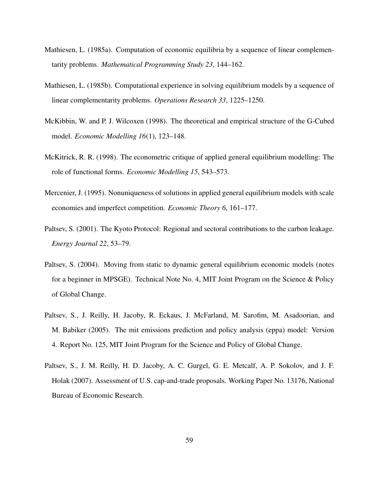- <span id="page-58-0"></span>Mathiesen, L. (1985a). Computation of economic equilibria by a sequence of linear complementarity problems. *Mathematical Programming Study 23*, 144–162.
- <span id="page-58-1"></span>Mathiesen, L. (1985b). Computational experience in solving equilibrium models by a sequence of linear complementarity problems. *Operations Research 33*, 1225–1250.
- <span id="page-58-3"></span>McKibbin, W. and P. J. Wilcoxen (1998). The theoretical and empirical structure of the G-Cubed model. *Economic Modelling 16*(1), 123–148.
- <span id="page-58-2"></span>McKitrick, R. R. (1998). The econometric critique of applied general equilibrium modelling: The role of functional forms. *Economic Modelling 15*, 543–573.
- <span id="page-58-8"></span>Mercenier, J. (1995). Nonuniqueness of solutions in applied general equilibrium models with scale economies and imperfect competition. *Economic Theory 6*, 161–177.
- <span id="page-58-6"></span>Paltsev, S. (2001). The Kyoto Protocol: Regional and sectoral contributions to the carbon leakage. *Energy Journal 22*, 53–79.
- <span id="page-58-7"></span>Paltsev, S. (2004). Moving from static to dynamic general equilibrium economic models (notes for a beginner in MPSGE). Technical Note No. 4, MIT Joint Program on the Science & Policy of Global Change.
- <span id="page-58-5"></span>Paltsev, S., J. Reilly, H. Jacoby, R. Eckaus, J. McFarland, M. Sarofim, M. Asadoorian, and M. Babiker (2005). The mit emissions prediction and policy analysis (eppa) model: Version 4. Report No. 125, MIT Joint Program for the Science and Policy of Global Change.
- <span id="page-58-4"></span>Paltsev, S., J. M. Reilly, H. D. Jacoby, A. C. Gurgel, G. E. Metcalf, A. P. Sokolov, and J. F. Holak (2007). Assessment of U.S. cap-and-trade proposals. Working Paper No. 13176, National Bureau of Economic Research.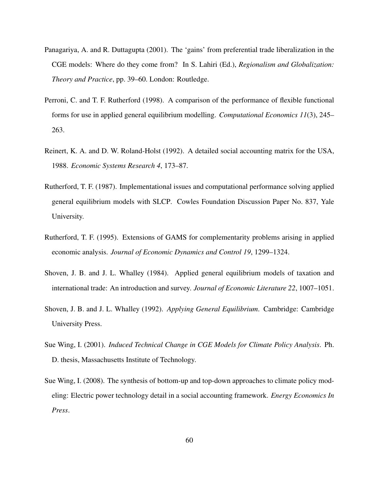- <span id="page-59-5"></span>Panagariya, A. and R. Duttagupta (2001). The 'gains' from preferential trade liberalization in the CGE models: Where do they come from? In S. Lahiri (Ed.), *Regionalism and Globalization: Theory and Practice*, pp. 39–60. London: Routledge.
- <span id="page-59-2"></span>Perroni, C. and T. F. Rutherford (1998). A comparison of the performance of flexible functional forms for use in applied general equilibrium modelling. *Computational Economics 11*(3), 245– 263.
- <span id="page-59-7"></span>Reinert, K. A. and D. W. Roland-Holst (1992). A detailed social accounting matrix for the USA, 1988. *Economic Systems Research 4*, 173–87.
- <span id="page-59-3"></span>Rutherford, T. F. (1987). Implementational issues and computational performance solving applied general equilibrium models with SLCP. Cowles Foundation Discussion Paper No. 837, Yale University.
- <span id="page-59-1"></span>Rutherford, T. F. (1995). Extensions of GAMS for complementarity problems arising in applied economic analysis. *Journal of Economic Dynamics and Control 19*, 1299–1324.
- <span id="page-59-0"></span>Shoven, J. B. and J. L. Whalley (1984). Applied general equilibrium models of taxation and international trade: An introduction and survey. *Journal of Economic Literature 22*, 1007–1051.
- <span id="page-59-6"></span>Shoven, J. B. and J. L. Whalley (1992). *Applying General Equilibrium*. Cambridge: Cambridge University Press.
- <span id="page-59-4"></span>Sue Wing, I. (2001). *Induced Technical Change in CGE Models for Climate Policy Analysis*. Ph. D. thesis, Massachusetts Institute of Technology.
- <span id="page-59-8"></span>Sue Wing, I. (2008). The synthesis of bottom-up and top-down approaches to climate policy modeling: Electric power technology detail in a social accounting framework. *Energy Economics In Press*.